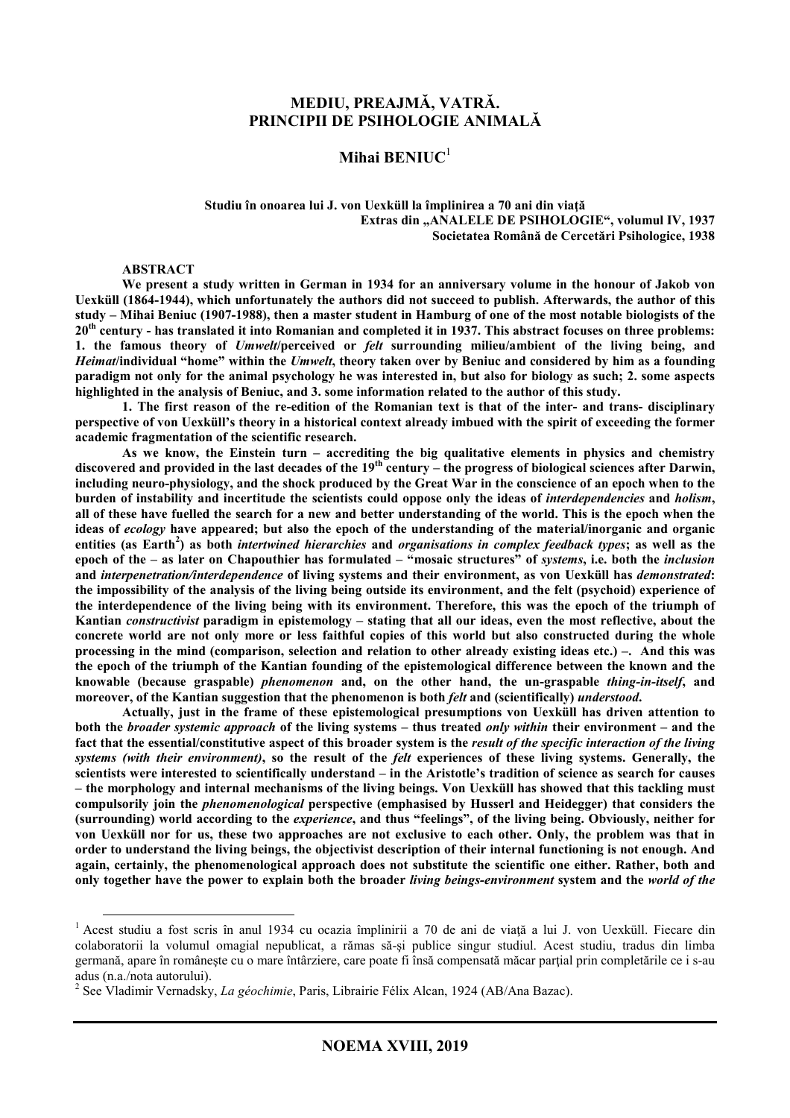### **MEDIU, PREAJMĂ, VATRĂ. PRINCIPII DE PSIHOLOGIE ANIMALĂ**

### **Mihai BENIUC**<sup>1</sup>

#### **Studiu în onoarea lui J. von Uexküll la împlinirea a 70 ani din viaţă**  Extras din "ANALELE DE PSIHOLOGIE", volumul IV, 1937 **Societatea Română de Cercetări Psihologice, 1938**

#### **ABSTRACT**

 $\overline{a}$ 

**We present a study written in German in 1934 for an anniversary volume in the honour of Jakob von Uexküll (1864-1944), which unfortunately the authors did not succeed to publish. Afterwards, the author of this study – Mihai Beniuc (1907-1988), then a master student in Hamburg of one of the most notable biologists of the 20th century - has translated it into Romanian and completed it in 1937. This abstract focuses on three problems: 1. the famous theory of** *Umwelt***/perceived or** *felt* **surrounding milieu/ambient of the living being, and** *Heimat***/individual "home" within the** *Umwelt***, theory taken over by Beniuc and considered by him as a founding paradigm not only for the animal psychology he was interested in, but also for biology as such; 2. some aspects highlighted in the analysis of Beniuc, and 3. some information related to the author of this study.** 

**1. The first reason of the re-edition of the Romanian text is that of the inter- and trans- disciplinary perspective of von Uexküll's theory in a historical context already imbued with the spirit of exceeding the former academic fragmentation of the scientific research.** 

**As we know, the Einstein turn – accrediting the big qualitative elements in physics and chemistry discovered and provided in the last decades of the 19th century – the progress of biological sciences after Darwin, including neuro-physiology, and the shock produced by the Great War in the conscience of an epoch when to the burden of instability and incertitude the scientists could oppose only the ideas of** *interdependencies* **and** *holism***, all of these have fuelled the search for a new and better understanding of the world. This is the epoch when the ideas of** *ecology* **have appeared; but also the epoch of the understanding of the material/inorganic and organic entities (as Earth<sup>2</sup> ) as both** *intertwined hierarchies* **and** *organisations in complex feedback types***; as well as the epoch of the – as later on Chapouthier has formulated – "mosaic structures" of** *systems***, i.e. both the** *inclusion* **and** *interpenetration/interdependence* **of living systems and their environment, as von Uexküll has** *demonstrated***: the impossibility of the analysis of the living being outside its environment, and the felt (psychoid) experience of the interdependence of the living being with its environment. Therefore, this was the epoch of the triumph of Kantian** *constructivist* **paradigm in epistemology – stating that all our ideas, even the most reflective, about the concrete world are not only more or less faithful copies of this world but also constructed during the whole processing in the mind (comparison, selection and relation to other already existing ideas etc.) –. And this was the epoch of the triumph of the Kantian founding of the epistemological difference between the known and the knowable (because graspable)** *phenomenon* **and, on the other hand, the un-graspable** *thing-in-itself***, and moreover, of the Kantian suggestion that the phenomenon is both** *felt* **and (scientifically)** *understood***.** 

**Actually, just in the frame of these epistemological presumptions von Uexküll has driven attention to both the** *broader systemic approach* **of the living systems – thus treated** *only within* **their environment – and the fact that the essential/constitutive aspect of this broader system is the** *result of the specific interaction of the living systems (with their environment)***, so the result of the** *felt* **experiences of these living systems. Generally, the scientists were interested to scientifically understand – in the Aristotle's tradition of science as search for causes – the morphology and internal mechanisms of the living beings. Von Uexküll has showed that this tackling must compulsorily join the** *phenomenological* **perspective (emphasised by Husserl and Heidegger) that considers the (surrounding) world according to the** *experience***, and thus "feelings", of the living being. Obviously, neither for von Uexküll nor for us, these two approaches are not exclusive to each other. Only, the problem was that in order to understand the living beings, the objectivist description of their internal functioning is not enough. And again, certainly, the phenomenological approach does not substitute the scientific one either. Rather, both and only together have the power to explain both the broader** *living beings-environment* **system and the** *world of the* 

<sup>&</sup>lt;sup>1</sup> Acest studiu a fost scris în anul 1934 cu ocazia împlinirii a 70 de ani de viață a lui J. von Uexküll. Fiecare din colaboratorii la volumul omagial nepublicat, a rămas să-şi publice singur studiul. Acest studiu, tradus din limba germană, apare în românește cu o mare întârziere, care poate fi însă compensată măcar partial prin completările ce i s-au adus (n.a./nota autorului).

<sup>2</sup> See Vladimir Vernadsky, *La géochimie*, Paris, Librairie Félix Alcan, 1924 (AB/Ana Bazac).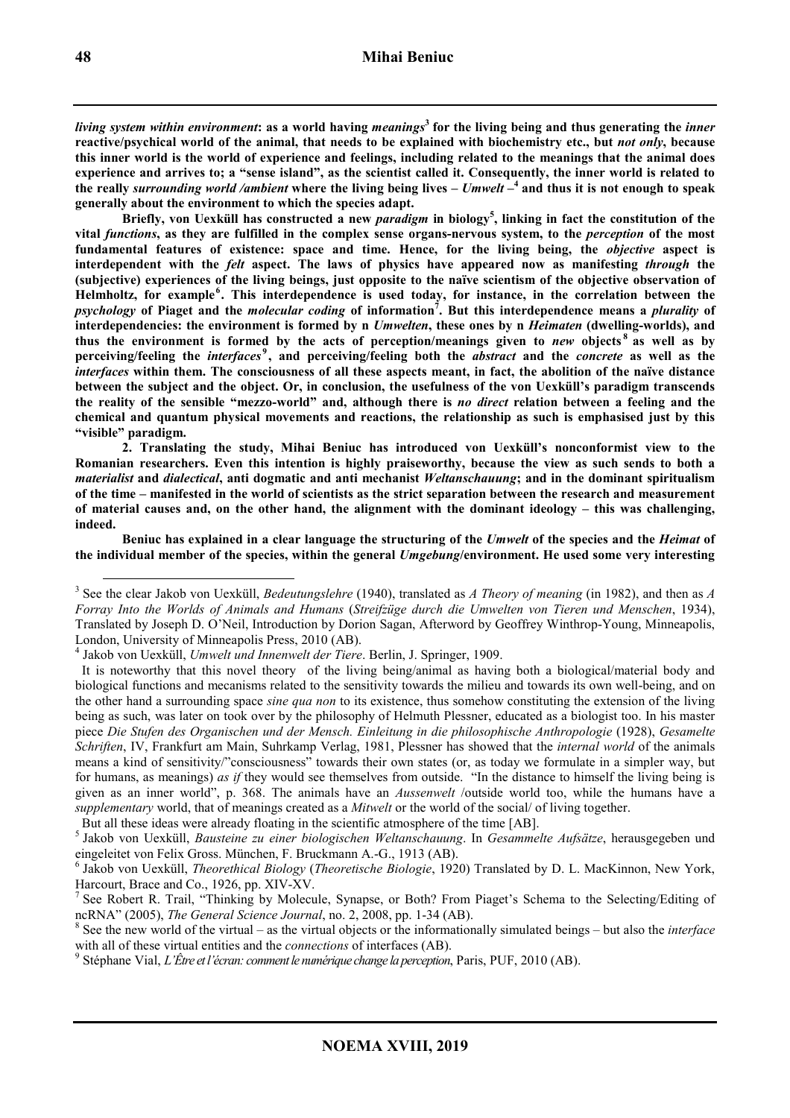*living system within environment***: as a world having** *meanings***<sup>3</sup> for the living being and thus generating the** *inner* **reactive/psychical world of the animal, that needs to be explained with biochemistry etc., but** *not only***, because this inner world is the world of experience and feelings, including related to the meanings that the animal does experience and arrives to; a "sense island", as the scientist called it. Consequently, the inner world is related to the really** *surrounding world /ambient* **where the living being lives –** *Umwelt* **– 4 and thus it is not enough to speak generally about the environment to which the species adapt.** 

**Briefly, von Uexküll has constructed a new** *paradigm* **in biology<sup>5</sup> , linking in fact the constitution of the vital** *functions***, as they are fulfilled in the complex sense organs-nervous system, to the** *perception* **of the most fundamental features of existence: space and time. Hence, for the living being, the** *objective* **aspect is interdependent with the** *felt* **aspect. The laws of physics have appeared now as manifesting** *through* **the (subjective) experiences of the living beings, just opposite to the naïve scientism of the objective observation of**  Helmholtz, for example<sup>6</sup>. This interdependence is used today, for instance, in the correlation between the *psychology* **of Piaget and the** *molecular coding* **of information<sup>7</sup> . But this interdependence means a** *plurality* **of interdependencies: the environment is formed by n** *Umwelten***, these ones by n** *Heimaten* **(dwelling-worlds), and thus the environment is formed by the acts of perception/meanings given to** *new* **objects <sup>8</sup> as well as by perceiving/feeling the** *interfaces* **<sup>9</sup> , and perceiving/feeling both the** *abstract* **and the** *concrete* **as well as the**  *interfaces* **within them. The consciousness of all these aspects meant, in fact, the abolition of the naïve distance between the subject and the object. Or, in conclusion, the usefulness of the von Uexküll's paradigm transcends the reality of the sensible "mezzo-world" and, although there is** *no direct* **relation between a feeling and the chemical and quantum physical movements and reactions, the relationship as such is emphasised just by this "visible" paradigm.** 

**2. Translating the study, Mihai Beniuc has introduced von Uexküll's nonconformist view to the Romanian researchers. Even this intention is highly praiseworthy, because the view as such sends to both a**  *materialist* **and** *dialectical***, anti dogmatic and anti mechanist** *Weltanschauung***; and in the dominant spiritualism of the time – manifested in the world of scientists as the strict separation between the research and measurement of material causes and, on the other hand, the alignment with the dominant ideology – this was challenging, indeed.** 

**Beniuc has explained in a clear language the structuring of the** *Umwelt* **of the species and the** *Heimat* **of the individual member of the species, within the general** *Umgebung***/environment. He used some very interesting** 

But all these ideas were already floating in the scientific atmosphere of the time [AB].

5 Jakob von Uexküll, *Bausteine zu einer biologischen Weltanschauung*. In *Gesammelte Aufsätze*, herausgegeben und eingeleitet von Felix Gross. München, F. Bruckmann A.-G., 1913 (AB).

<sup>3</sup> See the clear Jakob von Uexküll, *Bedeutungslehre* (1940), translated as *A Theory of meaning* (in 1982), and then as *A Forray Into the Worlds of Animals and Humans* (*Streifzüge durch die Umwelten von Tieren und Menschen*, 1934), Translated by Joseph D. O'Neil, Introduction by Dorion Sagan, Afterword by Geoffrey Winthrop-Young, Minneapolis, London, University of Minneapolis Press, 2010 (AB).

<sup>4</sup> Jakob von Uexküll, *Umwelt und Innenwelt der Tiere*. Berlin, J. Springer, 1909.

It is noteworthy that this novel theory of the living being/animal as having both a biological/material body and biological functions and mecanisms related to the sensitivity towards the milieu and towards its own well-being, and on the other hand a surrounding space *sine qua non* to its existence, thus somehow constituting the extension of the living being as such, was later on took over by the philosophy of Helmuth Plessner, educated as a biologist too. In his master piece *Die Stufen des Organischen und der Mensch. Einleitung in die philosophische Anthropologie* (1928), *Gesamelte Schriften*, IV, Frankfurt am Main, Suhrkamp Verlag, 1981, Plessner has showed that the *internal world* of the animals means a kind of sensitivity/"consciousness" towards their own states (or, as today we formulate in a simpler way, but for humans, as meanings) *as if* they would see themselves from outside. "In the distance to himself the living being is given as an inner world", p. 368. The animals have an *Aussenwelt* /outside world too, while the humans have a *supplementary* world, that of meanings created as a *Mitwelt* or the world of the social/ of living together.

<sup>6</sup> Jakob von Uexküll, *Theorethical Biology* (*Theoretische Biologie*, 1920) Translated by D. L. MacKinnon, New York, Harcourt, Brace and Co., 1926, pp. XIV-XV.

<sup>7</sup> See Robert R. Trail, "Thinking by Molecule, Synapse, or Both? From Piaget's Schema to the Selecting/Editing of ncRNA" (2005), *The General Science Journal*, no. 2, 2008, pp. 1-34 (AB).

<sup>8</sup> See the new world of the virtual – as the virtual objects or the informationally simulated beings – but also the *interface* with all of these virtual entities and the *connections* of interfaces (AB).<br><sup>9</sup> Stéphane Vial, *L'Être et l'écran: comment le numérique change la perception*, Paris, PUF, 2010 (AB).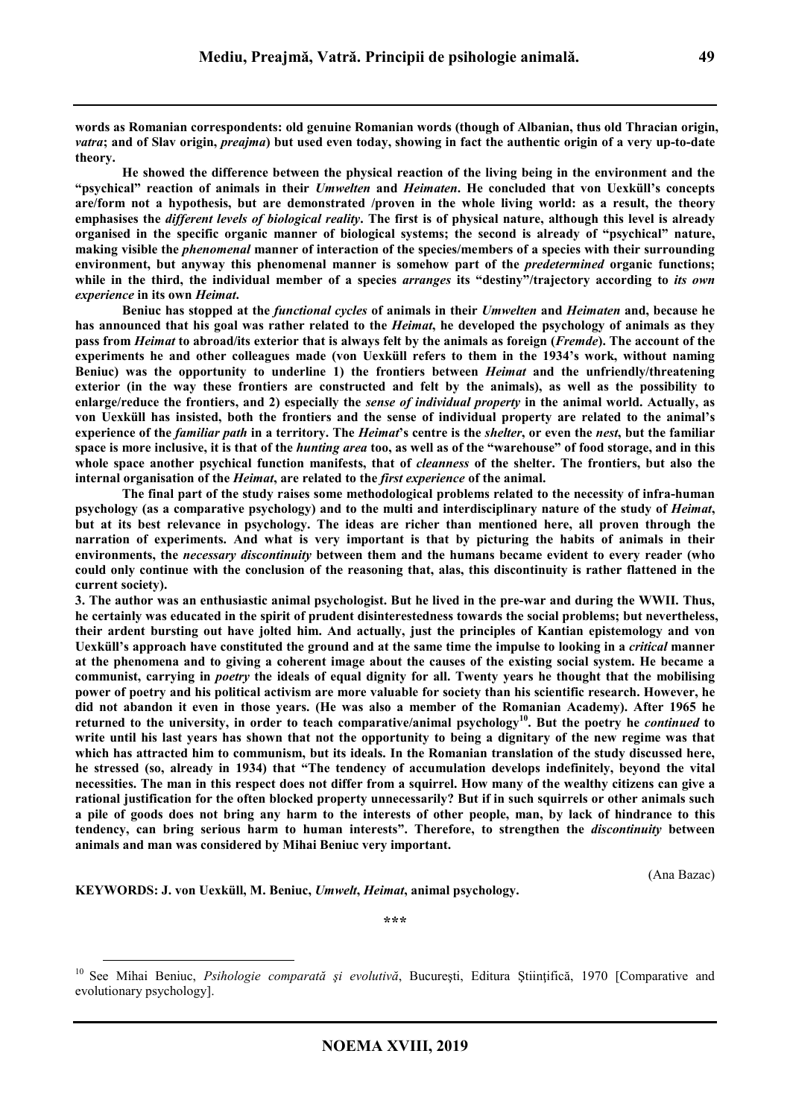**words as Romanian correspondents: old genuine Romanian words (though of Albanian, thus old Thracian origin,**  *vatra***; and of Slav origin,** *preajma***) but used even today, showing in fact the authentic origin of a very up-to-date theory.** 

**He showed the difference between the physical reaction of the living being in the environment and the "psychical" reaction of animals in their** *Umwelten* **and** *Heimaten***. He concluded that von Uexküll's concepts are/form not a hypothesis, but are demonstrated /proven in the whole living world: as a result, the theory emphasises the** *different levels of biological reality***. The first is of physical nature, although this level is already organised in the specific organic manner of biological systems; the second is already of "psychical" nature, making visible the** *phenomenal* **manner of interaction of the species/members of a species with their surrounding environment, but anyway this phenomenal manner is somehow part of the** *predetermined* **organic functions; while in the third, the individual member of a species** *arranges* **its "destiny"/trajectory according to** *its own experience* **in its own** *Heimat***.** 

**Beniuc has stopped at the** *functional cycles* **of animals in their** *Umwelten* **and** *Heimaten* **and, because he has announced that his goal was rather related to the** *Heimat***, he developed the psychology of animals as they pass from** *Heimat* **to abroad/its exterior that is always felt by the animals as foreign (***Fremde***). The account of the experiments he and other colleagues made (von Uexküll refers to them in the 1934's work, without naming Beniuc) was the opportunity to underline 1) the frontiers between** *Heimat* **and the unfriendly/threatening exterior (in the way these frontiers are constructed and felt by the animals), as well as the possibility to enlarge/reduce the frontiers, and 2) especially the** *sense of individual property* **in the animal world. Actually, as von Uexküll has insisted, both the frontiers and the sense of individual property are related to the animal's experience of the** *familiar path* **in a territory. The** *Heimat***'s centre is the** *shelter***, or even the** *nest***, but the familiar space is more inclusive, it is that of the** *hunting area* **too, as well as of the "warehouse" of food storage, and in this whole space another psychical function manifests, that of** *cleanness* **of the shelter. The frontiers, but also the internal organisation of the** *Heimat***, are related to the** *first experience* **of the animal.** 

**The final part of the study raises some methodological problems related to the necessity of infra-human psychology (as a comparative psychology) and to the multi and interdisciplinary nature of the study of** *Heimat***, but at its best relevance in psychology. The ideas are richer than mentioned here, all proven through the narration of experiments. And what is very important is that by picturing the habits of animals in their environments, the** *necessary discontinuity* **between them and the humans became evident to every reader (who could only continue with the conclusion of the reasoning that, alas, this discontinuity is rather flattened in the current society).** 

**3. The author was an enthusiastic animal psychologist. But he lived in the pre-war and during the WWII. Thus, he certainly was educated in the spirit of prudent disinterestedness towards the social problems; but nevertheless, their ardent bursting out have jolted him. And actually, just the principles of Kantian epistemology and von Uexküll's approach have constituted the ground and at the same time the impulse to looking in a** *critical* **manner at the phenomena and to giving a coherent image about the causes of the existing social system. He became a communist, carrying in** *poetry* **the ideals of equal dignity for all. Twenty years he thought that the mobilising power of poetry and his political activism are more valuable for society than his scientific research. However, he did not abandon it even in those years. (He was also a member of the Romanian Academy). After 1965 he returned to the university, in order to teach comparative/animal psychology<sup>10</sup>. But the poetry he** *continued* **to write until his last years has shown that not the opportunity to being a dignitary of the new regime was that which has attracted him to communism, but its ideals. In the Romanian translation of the study discussed here, he stressed (so, already in 1934) that "The tendency of accumulation develops indefinitely, beyond the vital necessities. The man in this respect does not differ from a squirrel. How many of the wealthy citizens can give a rational justification for the often blocked property unnecessarily? But if in such squirrels or other animals such a pile of goods does not bring any harm to the interests of other people, man, by lack of hindrance to this tendency, can bring serious harm to human interests". Therefore, to strengthen the** *discontinuity* **between animals and man was considered by Mihai Beniuc very important.** 

(Ana Bazac)

**KEYWORDS: J. von Uexküll, M. Beniuc,** *Umwelt***,** *Heimat***, animal psychology.** 

 $\overline{a}$ 

**\*\*\*** 

<sup>&</sup>lt;sup>10</sup> See Mihai Beniuc, Psihologie comparată și evolutivă, București, Editura Științifică, 1970 [Comparative and evolutionary psychology].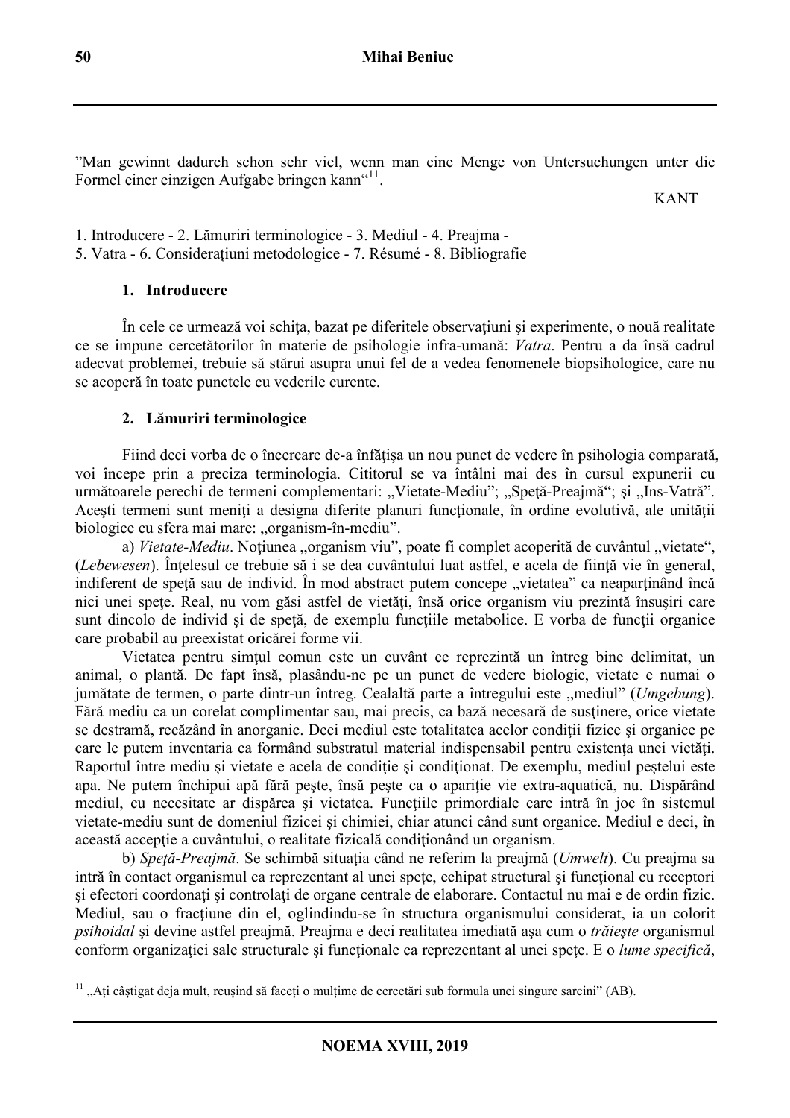"Man gewinnt dadurch schon sehr viel, wenn man eine Menge von Untersuchungen unter die Formel einer einzigen Aufgabe bringen kann"<sup>11</sup>.

KANT

1. Introducere - 2. Lămuriri terminologice - 3. Mediul - 4. Preajma - 5. Vatra - 6. Considerațiuni metodologice - 7. Résumé - 8. Bibliografie

# **1. Introducere**

În cele ce urmează voi schiţa, bazat pe diferitele observaţiuni şi experimente, o nouă realitate ce se impune cercetătorilor în materie de psihologie infra-umană: *Vatra*. Pentru a da însă cadrul adecvat problemei, trebuie să stărui asupra unui fel de a vedea fenomenele biopsihologice, care nu se acoperă în toate punctele cu vederile curente.

# **2. Lămuriri terminologice**

Fiind deci vorba de o încercare de-a înfățisa un nou punct de vedere în psihologia comparată, voi începe prin a preciza terminologia. Cititorul se va întâlni mai des în cursul expunerii cu următoarele perechi de termeni complementari: "Vietate-Mediu"; "Speță-Preajmă"; și "Ins-Vatră". Acești termeni sunt meniți a designa diferite planuri funcționale, în ordine evolutivă, ale unității biologice cu sfera mai mare: "organism-în-mediu".

a) *Vietate-Mediu*. Noțiunea "organism viu", poate fi complet acoperită de cuvântul "vietate", (*Lebewesen*). Înțelesul ce trebuie să i se dea cuvântului luat astfel, e acela de ființă vie în general, indiferent de speță sau de individ. În mod abstract putem concepe "vietatea" ca neaparținând încă nici unei speţe. Real, nu vom găsi astfel de vietăţi, însă orice organism viu prezintă însuşiri care sunt dincolo de individ și de spetă, de exemplu funcțiile metabolice. E vorba de funcții organice care probabil au preexistat oricărei forme vii.

Vietatea pentru simţul comun este un cuvânt ce reprezintă un întreg bine delimitat, un animal, o plantă. De fapt însă, plasându-ne pe un punct de vedere biologic, vietate e numai o jumătate de termen, o parte dintr-un întreg. Cealaltă parte a întregului este "mediul" (*Umgebung*). Fără mediu ca un corelat complimentar sau, mai precis, ca bază necesară de susţinere, orice vietate se destramă, recăzând în anorganic. Deci mediul este totalitatea acelor condiții fizice și organice pe care le putem inventaria ca formând substratul material indispensabil pentru existenta unei vietăți. Raportul între mediu și vietate e acela de conditie și conditionat. De exemplu, mediul peștelui este apa. Ne putem închipui apă fără pește, însă pește ca o apariție vie extra-aquatică, nu. Dispărând mediul, cu necesitate ar dispărea şi vietatea. Funcţiile primordiale care intră în joc în sistemul vietate-mediu sunt de domeniul fizicei şi chimiei, chiar atunci când sunt organice. Mediul e deci, în această acceptie a cuvântului, o realitate fizicală conditionând un organism.

b) *Speţă-Preajmă*. Se schimbă situaţia când ne referim la preajmă (*Umwelt*). Cu preajma sa intră în contact organismul ca reprezentant al unei spețe, echipat structural și funcțional cu receptori si efectori coordonați și controlați de organe centrale de elaborare. Contactul nu mai e de ordin fizic. Mediul, sau o fractiune din el, oglindindu-se în structura organismului considerat, ia un colorit *psihoidal* şi devine astfel preajmă. Preajma e deci realitatea imediată aşa cum o *trăieşte* organismul conform organizației sale structurale și funcționale ca reprezentant al unei spețe. E o *lume specifică*,

 $\overline{a}$  $11$ , Ați câștigat deja mult, reușind să faceți o mulțime de cercetări sub formula unei singure sarcini" (AB).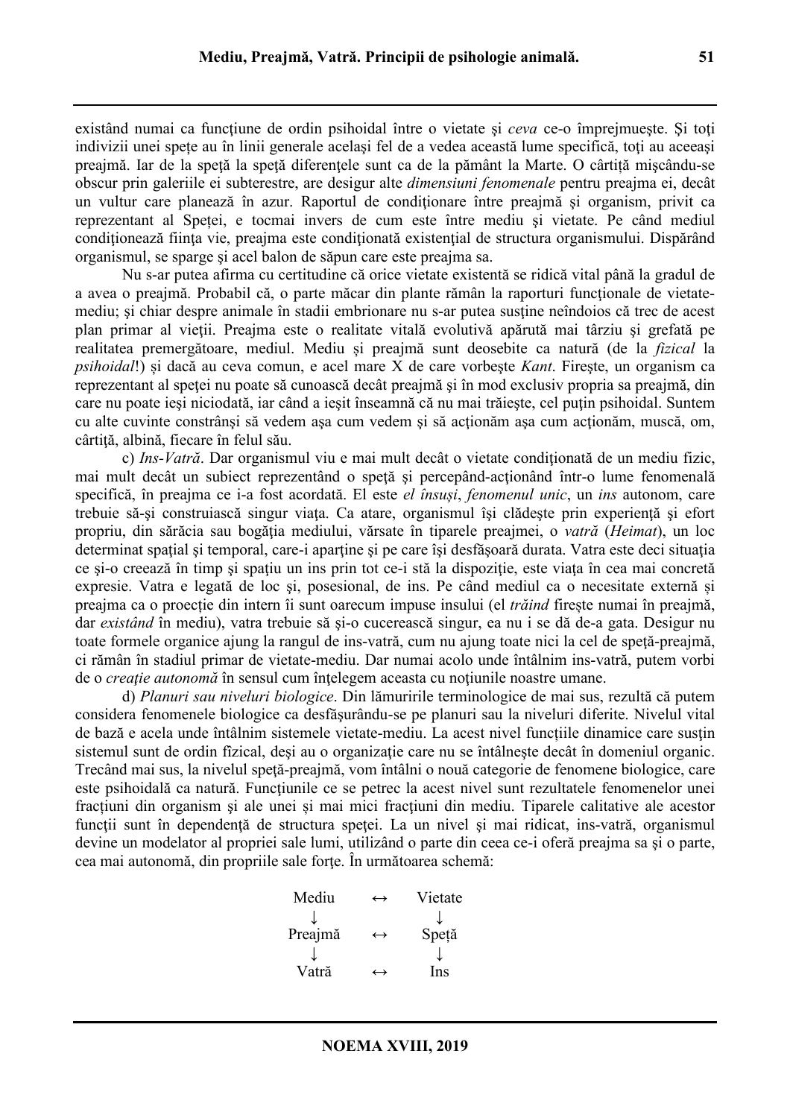preajmă. Iar de la speţă la speţă diferenţele sunt ca de la pământ la Marte. O cârtiță mişcându-se obscur prin galeriile ei subterestre, are desigur alte *dimensiuni fenomenale* pentru preajma ei, decât un vultur care planează în azur. Raportul de conditionare între preajmă și organism, privit ca reprezentant al Speței, e tocmai invers de cum este între mediu şi vietate. Pe când mediul conditionează ființa vie, preajma este condiționată existențial de structura organismului. Dispărând organismul, se sparge şi acel balon de săpun care este preajma sa.

Nu s-ar putea afirma cu certitudine că orice vietate existentă se ridică vital până la gradul de a avea o preajmă. Probabil că, o parte măcar din plante rămân la raporturi functionale de vietatemediu; şi chiar despre animale în stadii embrionare nu s-ar putea susţine neîndoios că trec de acest plan primar al vieţii. Preajma este o realitate vitală evolutivă apărută mai târziu şi grefată pe realitatea premergătoare, mediul. Mediu și preajmă sunt deosebite ca natură (de la *fizical* la *psihoidal*!) și dacă au ceva comun, e acel mare X de care vorbeşte *Kant*. Fireşte, un organism ca reprezentant al spetei nu poate să cunoască decât preajmă și în mod exclusiv propria sa preajmă, din care nu poate ieși niciodată, iar când a ieșit înseamnă că nu mai trăiește, cel puțin psihoidal. Suntem cu alte cuvinte constrânși să vedem așa cum vedem și să acționăm asa cum acționăm, muscă, om, cârtită, albină, fiecare în felul său.

c) *Ins-Vatră*. Dar organismul viu e mai mult decât o vietate conditionată de un mediu fizic, mai mult decât un subiect reprezentând o spetă și percepând-actionând într-o lume fenomenală specifică, în preajma ce i-a fost acordată. El este *el însuși*, *fenomenul unic*, un *ins* autonom, care trebuie să-şi construiască singur viaţa. Ca atare, organismul îşi clădeşte prin experienţă şi efort propriu, din sărăcia sau bogăția mediului, vărsate în tiparele preajmei, o *vatră (Heimat*), un loc determinat spațial și temporal, care-i aparține și pe care își desfășoară durata. Vatra este deci situația ce şi-o creează în timp şi spaţiu un ins prin tot ce-i stă la dispoziţie, este viaţa în cea mai concretă expresie. Vatra e legată de loc şi, posesional, de ins. Pe când mediul ca o necesitate externă și preajma ca o proecție din intern îi sunt oarecum impuse insului (el *trăind* firește numai în preajmă, dar *existând* în mediu), vatra trebuie să şi-o cucerească singur, ea nu i se dă de-a gata. Desigur nu toate formele organice ajung la rangul de ins-vatră, cum nu ajung toate nici la cel de speţă-preajmă, ci rămân în stadiul primar de vietate-mediu. Dar numai acolo unde întâlnim ins-vatră, putem vorbi de o *creatie autonomă* în sensul cum întelegem aceasta cu notiunile noastre umane.

d) *Planuri sau niveluri biologice*. Din lămuririle terminologice de mai sus, rezultă că putem considera fenomenele biologice ca desfăşurându-se pe planuri sau la niveluri diferite. Nivelul vital de bază e acela unde întâlnim sistemele vietate-mediu. La acest nivel funcțiile dinamice care susțin sistemul sunt de ordin fîzical, desi au o organizație care nu se întâlnește decât în domeniul organic. Trecând mai sus, la nivelul speţă-preajmă, vom întâlni o nouă categorie de fenomene biologice, care este psihoidală ca natură. Funcțiunile ce se petrec la acest nivel sunt rezultatele fenomenelor unei fractiuni din organism și ale unei și mai mici fracțiuni din mediu. Tiparele calitative ale acestor funcții sunt în dependență de structura speței. La un nivel și mai ridicat, ins-vatră, organismul devine un modelator al propriei sale lumi, utilizând o parte din ceea ce-i oferă preajma sa şi o parte, cea mai autonomă, din propriile sale forţe. În următoarea schemă:

| $\leftrightarrow$ | Vietate |
|-------------------|---------|
|                   |         |
| $\hookrightarrow$ | Speță   |
|                   |         |
| →                 | Ins     |
|                   |         |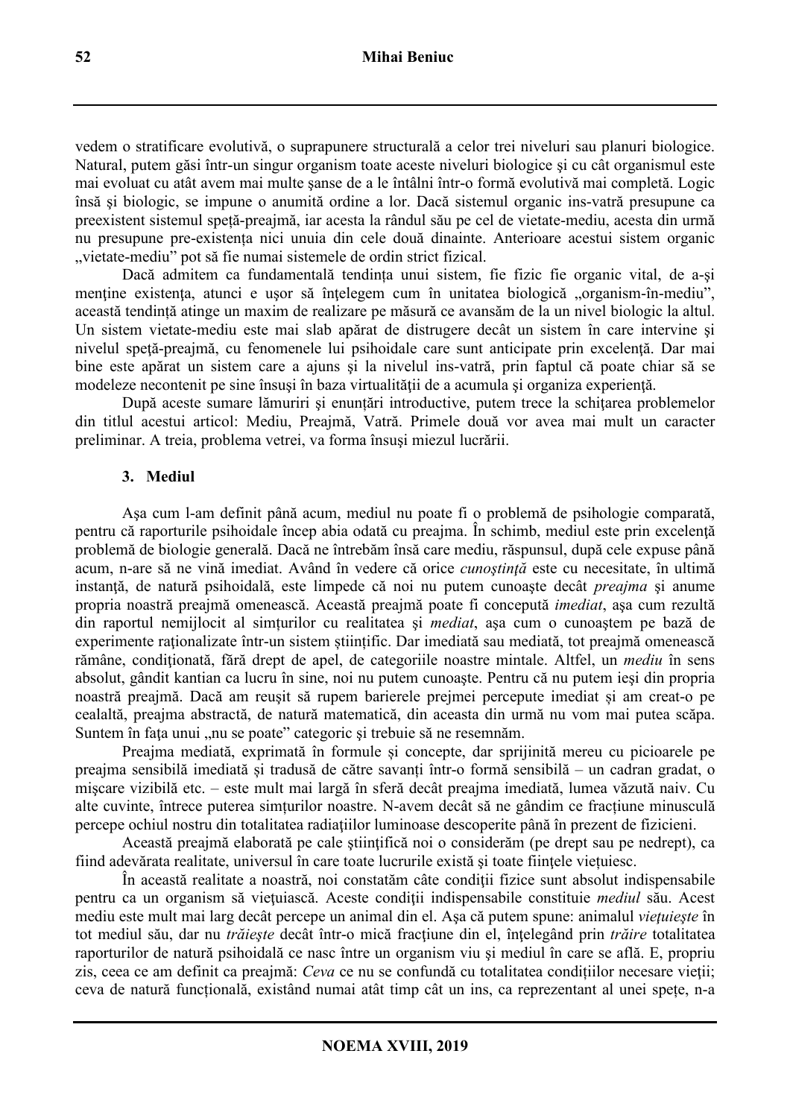vedem o stratificare evolutivă, o suprapunere structurală a celor trei niveluri sau planuri biologice. Natural, putem găsi într-un singur organism toate aceste niveluri biologice şi cu cât organismul este mai evoluat cu atât avem mai multe şanse de a le întâlni într-o formă evolutivă mai completă. Logic însă şi biologic, se impune o anumită ordine a lor. Dacă sistemul organic ins-vatră presupune ca preexistent sistemul speță-preajmă, iar acesta la rândul său pe cel de vietate-mediu, acesta din urmă nu presupune pre-existența nici unuia din cele două dinainte. Anterioare acestui sistem organic vietate-mediu" pot să fie numai sistemele de ordin strict fizical.

Dacă admitem ca fundamentală tendința unui sistem, fie fizic fie organic vital, de a-şi mentine existenta, atunci e usor să întelegem cum în unitatea biologică "organism-în-mediu", această tendință atinge un maxim de realizare pe măsură ce avansăm de la un nivel biologic la altul. Un sistem vietate-mediu este mai slab apărat de distrugere decât un sistem în care intervine şi nivelul speţă-preajmă, cu fenomenele lui psihoidale care sunt anticipate prin excelenţă. Dar mai bine este apărat un sistem care a ajuns şi la nivelul ins-vatră, prin faptul că poate chiar să se modeleze necontenit pe sine însusi în baza virtualității de a acumula și organiza experiență.

După aceste sumare lămuriri şi enunțări introductive, putem trece la schiţarea problemelor din titlul acestui articol: Mediu, Preajmă, Vatră. Primele două vor avea mai mult un caracter preliminar. A treia, problema vetrei, va forma însuşi miezul lucrării.

### **3. Mediul**

Aşa cum l-am definit până acum, mediul nu poate fi o problemă de psihologie comparată, pentru că raporturile psihoidale încep abia odată cu preajma. În schimb, mediul este prin excelență problemă de biologie generală. Dacă ne întrebăm însă care mediu, răspunsul, după cele expuse până acum, n-are să ne vină imediat. Având în vedere că orice *cunoştinţă* este cu necesitate, în ultimă instanță, de natură psihoidală, este limpede că noi nu putem cunoaște decât *preajma* și anume propria noastră preajmă omenească. Această preajmă poate fi concepută *imediat*, aşa cum rezultă din raportul nemijlocit al simțurilor cu realitatea şi *mediat*, aşa cum o cunoaştem pe bază de experimente raţionalizate într-un sistem științific. Dar imediată sau mediată, tot preajmă omenească rămâne, conditionată, fără drept de apel, de categoriile noastre mintale. Altfel, un *mediu* în sens absolut, gândit kantian ca lucru în sine, noi nu putem cunoaşte. Pentru că nu putem ieşi din propria noastră preajmă. Dacă am reuşit să rupem barierele prejmei percepute imediat și am creat-o pe cealaltă, preajma abstractă, de natură matematică, din aceasta din urmă nu vom mai putea scăpa. Suntem în fața unui "nu se poate" categoric și trebuie să ne resemnăm.

Preajma mediată, exprimată în formule și concepte, dar sprijinită mereu cu picioarele pe preajma sensibilă imediată și tradusă de către savanți într-o formă sensibilă – un cadran gradat, o mişcare vizibilă etc. – este mult mai largă în sferă decât preajma imediată, lumea văzută naiv. Cu alte cuvinte, întrece puterea simțurilor noastre. N-avem decât să ne gândim ce fracțiune minusculă percepe ochiul nostru din totalitatea radiaţiilor luminoase descoperite până în prezent de fizicieni.

Această preajmă elaborată pe cale științifică noi o considerăm (pe drept sau pe nedrept), ca fiind adevărata realitate, universul în care toate lucrurile există şi toate fiinţele viețuiesc.

În această realitate a noastră, noi constatăm câte conditii fizice sunt absolut indispensabile pentru ca un organism să vietuiască. Aceste condiții indispensabile constituie *mediul* său. Acest mediu este mult mai larg decât percepe un animal din el. Aşa că putem spune: animalul *vieţuieşte* în tot mediul său, dar nu *trăiește* decât într-o mică fracțiune din el, înțelegând prin *trăire* totalitatea raporturilor de natură psihoidală ce nasc între un organism viu şi mediul în care se află. E, propriu zis, ceea ce am definit ca preajmă: *Ceva* ce nu se confundă cu totalitatea condițiilor necesare vieţii; ceva de natură funcțională, existând numai atât timp cât un ins, ca reprezentant al unei spețe, n-a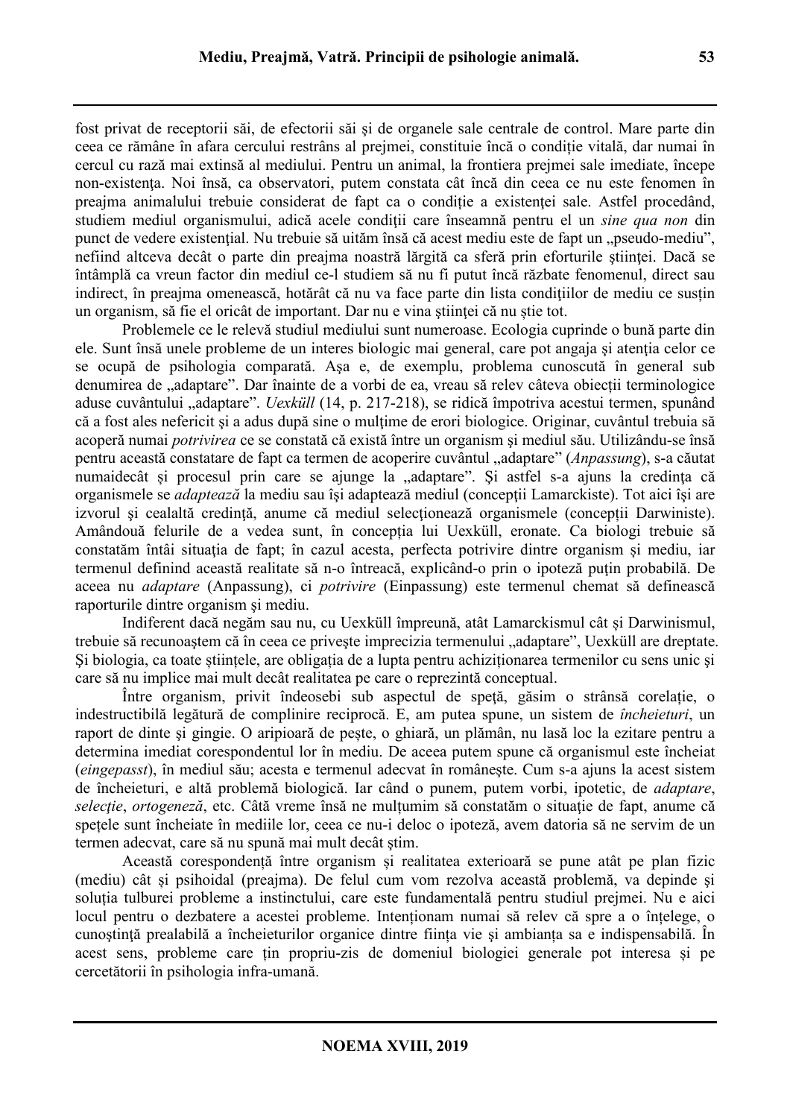fost privat de receptorii săi, de efectorii săi şi de organele sale centrale de control. Mare parte din ceea ce rămâne în afara cercului restrâns al prejmei, constituie încă o condiție vitală, dar numai în cercul cu rază mai extinsă al mediului. Pentru un animal, la frontiera prejmei sale imediate, începe non-existenta. Noi însă, ca observatori, putem constata cât încă din ceea ce nu este fenomen în preajma animalului trebuie considerat de fapt ca o condiție a existenței sale. Astfel procedând, studiem mediul organismului, adică acele condiţii care înseamnă pentru el un *sine qua non* din punct de vedere existențial. Nu trebuie să uităm însă că acest mediu este de fapt un "pseudo-mediu", nefiind altceva decât o parte din preajma noastră lărgită ca sferă prin eforturile științei. Dacă se întâmplă ca vreun factor din mediul ce-l studiem să nu fi putut încă răzbate fenomenul, direct sau indirect, în preajma omenească, hotărât că nu va face parte din lista condițiilor de mediu ce susțin un organism, să fie el oricât de important. Dar nu e vina ştiinţei că nu știe tot.

Problemele ce le relevă studiul mediului sunt numeroase. Ecologia cuprinde o bună parte din ele. Sunt însă unele probleme de un interes biologic mai general, care pot angaja și atenția celor ce se ocupă de psihologia comparată. Aşa e, de exemplu, problema cunoscută în general sub denumirea de "adaptare". Dar înainte de a vorbi de ea, vreau să relev câteva obiecții terminologice aduse cuvântului "adaptare". *Uexküll* (14, p. 217-218), se ridică împotriva acestui termen, spunând că a fost ales nefericit şi a adus după sine o mulţime de erori biologice. Originar, cuvântul trebuia să acoperă numai *potrivirea* ce se constată că există între un organism şi mediul său. Utilizându-se însă pentru această constatare de fapt ca termen de acoperire cuvântul "adaptare" (*Anpassung*), s-a căutat numaidecât și procesul prin care se ajunge la "adaptare". Și astfel s-a ajuns la credința că organismele se *adaptează* la mediu sau își adaptează mediul (concepții Lamarckiste). Tot aici își are izvorul şi cealaltă credinţă, anume că mediul selecţionează organismele (concepții Darwiniste). Amândouă felurile de a vedea sunt, în concepția lui Uexküll, eronate. Ca biologi trebuie să constatăm întâi situația de fapt; în cazul acesta, perfecta potrivire dintre organism și mediu, iar termenul definind această realitate să n-o întreacă, explicând-o prin o ipoteză puțin probabilă. De aceea nu *adaptare* (Anpassung), ci *potrivire* (Einpassung) este termenul chemat să definească raporturile dintre organism şi mediu.

Indiferent dacă negăm sau nu, cu Uexküll împreună, atât Lamarckismul cât și Darwinismul, trebuie să recunoaștem că în ceea ce privește imprecizia termenului "adaptare", Uexküll are dreptate. Şi biologia, ca toate științele, are obligația de a lupta pentru achiziționarea termenilor cu sens unic şi care să nu implice mai mult decât realitatea pe care o reprezintă conceptual.

Între organism, privit îndeosebi sub aspectul de speţă, găsim o strânsă corelație, o indestructibilă legătură de complinire reciprocă. E, am putea spune, un sistem de *încheieturi*, un raport de dinte şi gingie. O aripioară de pește, o ghiară, un plămân, nu lasă loc la ezitare pentru a determina imediat corespondentul lor în mediu. De aceea putem spune că organismul este încheiat (*eingepasst*), în mediul său; acesta e termenul adecvat în româneşte. Cum s-a ajuns la acest sistem de încheieturi, e altă problemă biologică. Iar când o punem, putem vorbi, ipotetic, de *adaptare*, *selecție*, *ortogeneză*, etc. Câtă vreme însă ne mulțumim să constatăm o situație de fapt, anume că spețele sunt încheiate în mediile lor, ceea ce nu-i deloc o ipoteză, avem datoria să ne servim de un termen adecvat, care să nu spună mai mult decât ştim.

Această corespondență între organism și realitatea exterioară se pune atât pe plan fizic (mediu) cât și psihoidal (preajma). De felul cum vom rezolva această problemă, va depinde şi soluția tulburei probleme a instinctului, care este fundamentală pentru studiul prejmei. Nu e aici locul pentru o dezbatere a acestei probleme. Intenționam numai să relev că spre a o înțelege, o cunoştinţă prealabilă a încheieturilor organice dintre ființa vie şi ambianța sa e indispensabilă. În acest sens, probleme care țin propriu-zis de domeniul biologiei generale pot interesa și pe cercetătorii în psihologia infra-umană.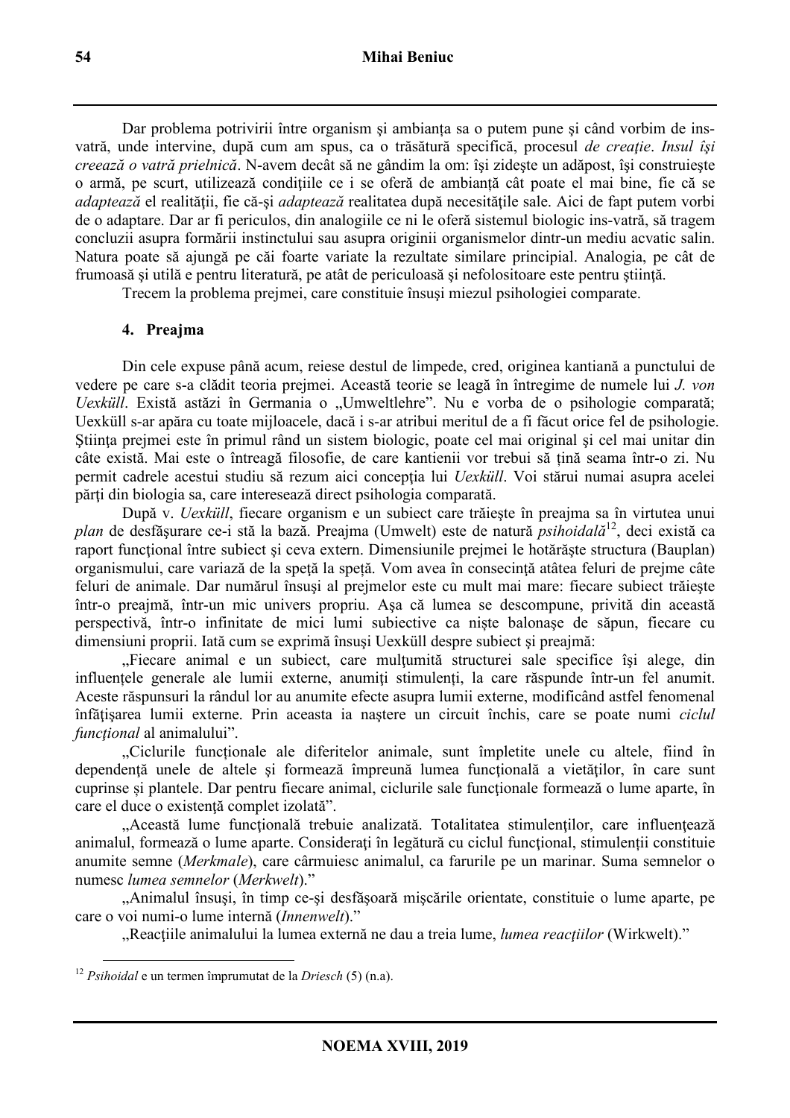Dar problema potrivirii între organism şi ambianța sa o putem pune şi când vorbim de insvatră, unde intervine, după cum am spus, ca o trăsătură specifică, procesul *de creaţie*. *Insul îşi creează o vatră prielnică*. N-avem decât să ne gândim la om: îşi zideşte un adăpost, îşi construieşte o armă, pe scurt, utilizează conditiile ce i se oferă de ambianță cât poate el mai bine, fie că se *adaptează* el realității, fie că-și *adaptează* realitatea după necesitățile sale. Aici de fapt putem vorbi de o adaptare. Dar ar fi periculos, din analogiile ce ni le oferă sistemul biologic ins-vatră, să tragem concluzii asupra formării instinctului sau asupra originii organismelor dintr-un mediu acvatic salin. Natura poate să ajungă pe căi foarte variate la rezultate similare principial. Analogia, pe cât de frumoasă și utilă e pentru literatură, pe atât de periculoasă și nefolositoare este pentru știință.

Trecem la problema prejmei, care constituie însuşi miezul psihologiei comparate.

### **4. Preajma**

Din cele expuse până acum, reiese destul de limpede, cred, originea kantiană a punctului de vedere pe care s-a clădit teoria prejmei. Această teorie se leagă în întregime de numele lui *J. von Uexküll*. Există astăzi în Germania o "Umweltlehre". Nu e vorba de o psihologie comparată; Uexküll s-ar apăra cu toate mijloacele, dacă i s-ar atribui meritul de a fi făcut orice fel de psihologie. Stiinta prejmei este în primul rând un sistem biologic, poate cel mai original și cel mai unitar din câte există. Mai este o întreagă filosofie, de care kantienii vor trebui să țină seama într-o zi. Nu permit cadrele acestui studiu să rezum aici conceptia lui *Uexküll*. Voi stărui numai asupra acelei părţi din biologia sa, care interesează direct psihologia comparată.

După v. *Uexküll*, fiecare organism e un subiect care trăieşte în preajma sa în virtutea unui *plan* de desfăsurare ce-i stă la bază. Preajma (Umwelt) este de natură *psihoidală*<sup>12</sup>, deci există ca raport functional între subiect și ceva extern. Dimensiunile preimei le hotărăște structura (Bauplan) organismului, care variază de la speță la speță. Vom avea în consecință atâtea feluri de prejme câte feluri de animale. Dar numărul însuşi al prejmelor este cu mult mai mare: fiecare subiect trăieşte într-o preajmă, într-un mic univers propriu. Aşa că lumea se descompune, privită din această perspectivă, într-o infinitate de mici lumi subiective ca niște balonaşe de săpun, fiecare cu dimensiuni proprii. Iată cum se exprimă însuşi Uexküll despre subiect şi preajmă:

"Fiecare animal e un subiect, care multumită structurei sale specifice își alege, din influențele generale ale lumii externe, anumiti stimulenți, la care răspunde într-un fel anumit. Aceste răspunsuri la rândul lor au anumite efecte asupra lumii externe, modificând astfel fenomenal înfăţişarea lumii externe. Prin aceasta ia naştere un circuit închis, care se poate numi *ciclul funcţional* al animalului".

Ciclurile functionale ale diferitelor animale, sunt împletite unele cu altele, fiind în dependență unele de altele și formează împreună lumea funcțională a vietăților, în care sunt cuprinse și plantele. Dar pentru fiecare animal, ciclurile sale funcționale formează o lume aparte, în care el duce o existență complet izolată".

"Această lume funcțională trebuie analizată. Totalitatea stimulenților, care influențează animalul, formează o lume aparte. Considerați în legătură cu ciclul funcțional, stimulenții constituie anumite semne (*Merkmale*), care cârmuiesc animalul, ca farurile pe un marinar. Suma semnelor o numesc *lumea semnelor* (*Merkwelt*)."

"Animalul însuşi, în timp ce-şi desfăşoară mişcările orientate, constituie o lume aparte, pe care o voi numi-o lume internă (*Innenwelt*)."

"Reacţiile animalului la lumea externă ne dau a treia lume, *lumea reacţiilor* (Wirkwelt)."

<sup>12</sup> *Psihoidal* e un termen împrumutat de la *Driesch* (5) (n.a).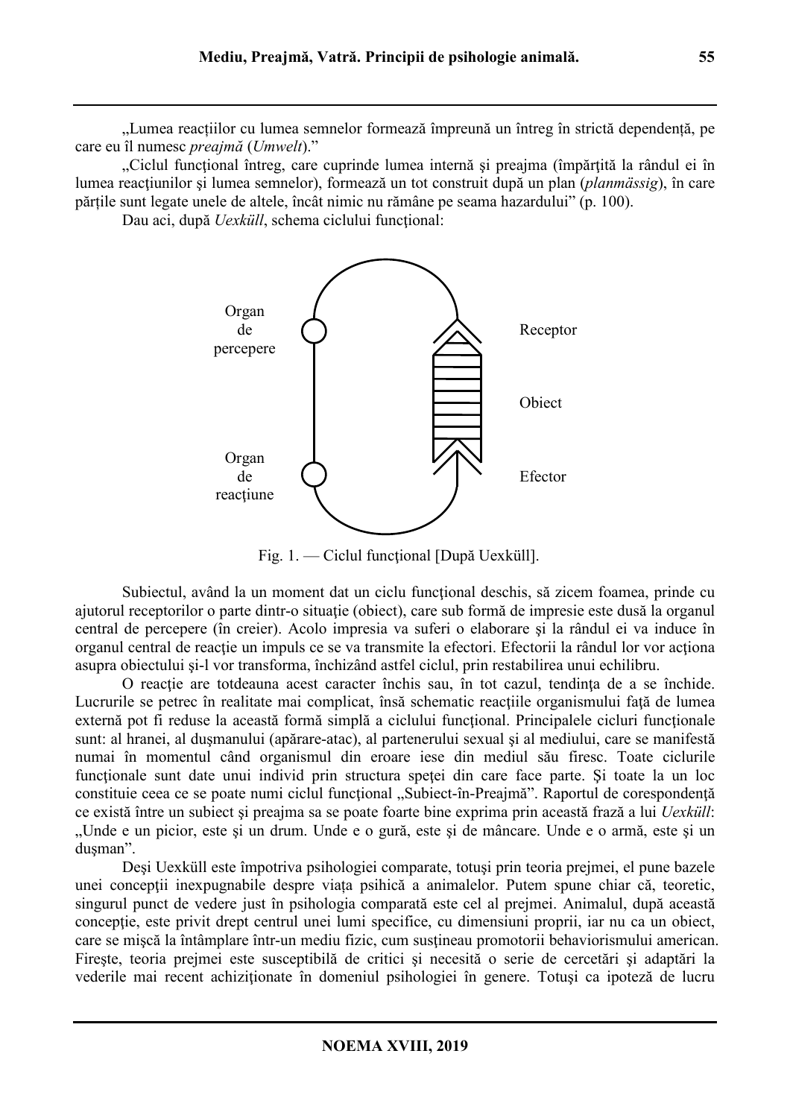"Lumea reacțiilor cu lumea semnelor formează împreună un întreg în strictă dependență, pe care eu îl numesc *preajmă* (*Umwelt*)."

"Ciclul funcțional întreg, care cuprinde lumea internă și preajma (împărțită la rândul ei în lumea reactiunilor și lumea semnelor), formează un tot construit după un plan (*planmässig*), în care părțile sunt legate unele de altele, încât nimic nu rămâne pe seama hazardului" (p. 100).

Dau aci, după *Uexküll*, schema ciclului funcțional:



Fig. 1. — Ciclul funcţional [După Uexküll].

Subiectul, având la un moment dat un ciclu funcțional deschis, să zicem foamea, prinde cu ajutorul receptorilor o parte dintr-o situaţie (obiect), care sub formă de impresie este dusă la organul central de percepere (în creier). Acolo impresia va suferi o elaborare şi la rândul ei va induce în organul central de reactie un impuls ce se va transmite la efectori. Efectorii la rândul lor vor actiona asupra obiectului şi-l vor transforma, închizând astfel ciclul, prin restabilirea unui echilibru.

O reactie are totdeauna acest caracter închis sau, în tot cazul, tendinta de a se închide. Lucrurile se petrec în realitate mai complicat, însă schematic reacțiile organismului față de lumea externă pot fi reduse la această formă simplă a ciclului funcțional. Principalele cicluri funcționale sunt: al hranei, al duşmanului (apărare-atac), al partenerului sexual şi al mediului, care se manifestă numai în momentul când organismul din eroare iese din mediul său firesc. Toate ciclurile funcționale sunt date unui individ prin structura speței din care face parte. Și toate la un loc constituie ceea ce se poate numi ciclul functional "Subiect-în-Preajmă". Raportul de corespondență ce există între un subiect şi preajma sa se poate foarte bine exprima prin această frază a lui *Uexküll*: "Unde e un picior, este şi un drum. Unde e o gură, este şi de mâncare. Unde e o armă, este şi un duşman".

Deşi Uexküll este împotriva psihologiei comparate, totuşi prin teoria prejmei, el pune bazele unei concepții inexpugnabile despre viața psihică a animalelor. Putem spune chiar că, teoretic, singurul punct de vedere just în psihologia comparată este cel al prejmei. Animalul, după această conceptie, este privit drept centrul unei lumi specifice, cu dimensiuni proprii, iar nu ca un obiect, care se mişcă la întâmplare într-un mediu fizic, cum susţineau promotorii behaviorismului american. Fireşte, teoria prejmei este susceptibilă de critici şi necesită o serie de cercetări şi adaptări la vederile mai recent achiziţionate în domeniul psihologiei în genere. Totuşi ca ipoteză de lucru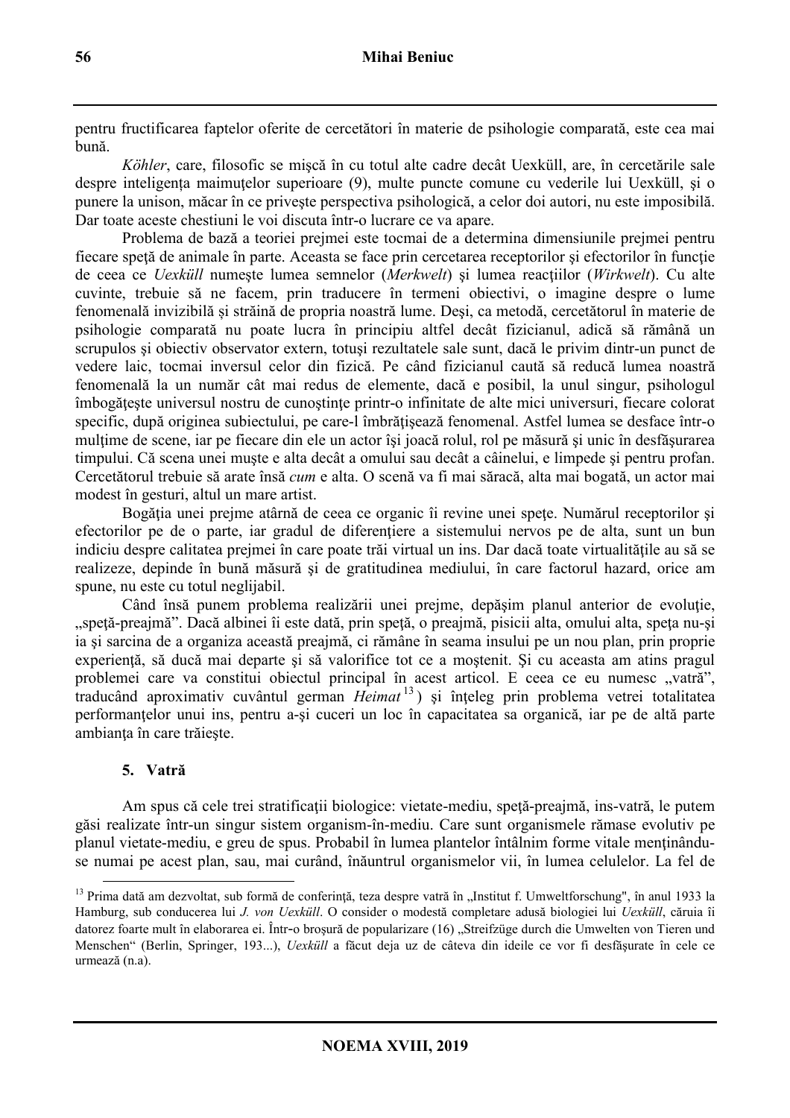pentru fructificarea faptelor oferite de cercetători în materie de psihologie comparată, este cea mai bună.

*Köhler*, care, filosofic se mişcă în cu totul alte cadre decât Uexküll, are, în cercetările sale despre inteligenta maimutelor superioare (9), multe puncte comune cu vederile lui Uexküll, și o punere la unison, măcar în ce priveşte perspectiva psihologică, a celor doi autori, nu este imposibilă. Dar toate aceste chestiuni le voi discuta într-o lucrare ce va apare.

Problema de bază a teoriei prejmei este tocmai de a determina dimensiunile prejmei pentru fiecare speță de animale în parte. Aceasta se face prin cercetarea receptorilor și efectorilor în funcție de ceea ce *Uexküll* numeşte lumea semnelor (*Merkwelt*) şi lumea reacţiilor (*Wirkwelt*). Cu alte cuvinte, trebuie să ne facem, prin traducere în termeni obiectivi, o imagine despre o lume fenomenală invizibilă și străină de propria noastră lume. Deşi, ca metodă, cercetătorul în materie de psihologie comparată nu poate lucra în principiu altfel decât fizicianul, adică să rămână un scrupulos şi obiectiv observator extern, totuşi rezultatele sale sunt, dacă le privim dintr-un punct de vedere laic, tocmai inversul celor din fizică. Pe când fizicianul caută să reducă lumea noastră fenomenală la un număr cât mai redus de elemente, dacă e posibil, la unul singur, psihologul îmbogăţeşte universul nostru de cunoştinţe printr-o infinitate de alte mici universuri, fiecare colorat specific, după originea subiectului, pe care-l îmbrățisează fenomenal. Astfel lumea se desface într-o multime de scene, iar pe fiecare din ele un actor își joacă rolul, rol pe măsură și unic în desfășurarea timpului. Că scena unei muşte e alta decât a omului sau decât a câinelui, e limpede şi pentru profan. Cercetătorul trebuie să arate însă *cum* e alta. O scenă va fi mai săracă, alta mai bogată, un actor mai modest în gesturi, altul un mare artist.

Bogăția unei prejme atârnă de ceea ce organic îi revine unei spețe. Numărul receptorilor și efectorilor pe de o parte, iar gradul de diferentiere a sistemului nervos pe de alta, sunt un bun indiciu despre calitatea prejmei în care poate trăi virtual un ins. Dar dacă toate virtualitățile au să se realizeze, depinde în bună măsură şi de gratitudinea mediului, în care factorul hazard, orice am spune, nu este cu totul neglijabil.

Când însă punem problema realizării unei prejme, depășim planul anterior de evoluție, "spetă-preajmă". Dacă albinei îi este dată, prin speță, o preajmă, pisicii alta, omului alta, speța nu-și, ia şi sarcina de a organiza această preajmă, ci rămâne în seama insului pe un nou plan, prin proprie experienţă, să ducă mai departe şi să valorifice tot ce a moştenit. Şi cu aceasta am atins pragul problemei care va constitui obiectul principal în acest articol. E ceea ce eu numesc "vatră", traducând aproximativ cuvântul german *Heimat* <sup>13</sup> ) şi înţeleg prin problema vetrei totalitatea performanţelor unui ins, pentru a-şi cuceri un loc în capacitatea sa organică, iar pe de altă parte ambianţa în care trăieşte.

## **5. Vatră**

Am spus că cele trei stratificații biologice: vietate-mediu, speță-preajmă, ins-vatră, le putem găsi realizate într-un singur sistem organism-în-mediu. Care sunt organismele rămase evolutiv pe planul vietate-mediu, e greu de spus. Probabil în lumea plantelor întâlnim forme vitale menţinânduse numai pe acest plan, sau, mai curând, înăuntrul organismelor vii, în lumea celulelor. La fel de

 $\overline{a}$ <sup>13</sup> Prima dată am dezvoltat, sub formă de conferință, teza despre vatră în "Institut f. Umweltforschung", în anul 1933 la Hamburg, sub conducerea lui *J. von Uexküll*. O consider o modestă completare adusă biologiei lui *Uexküll*, căruia îi datorez foarte mult în elaborarea ei. Într-o broșură de popularizare (16) "Streifzüge durch die Umwelten von Tieren und Menschen" (Berlin, Springer, 193...), *Uexküll* a făcut deja uz de câteva din ideile ce vor fi desfăşurate în cele ce urmează (n.a).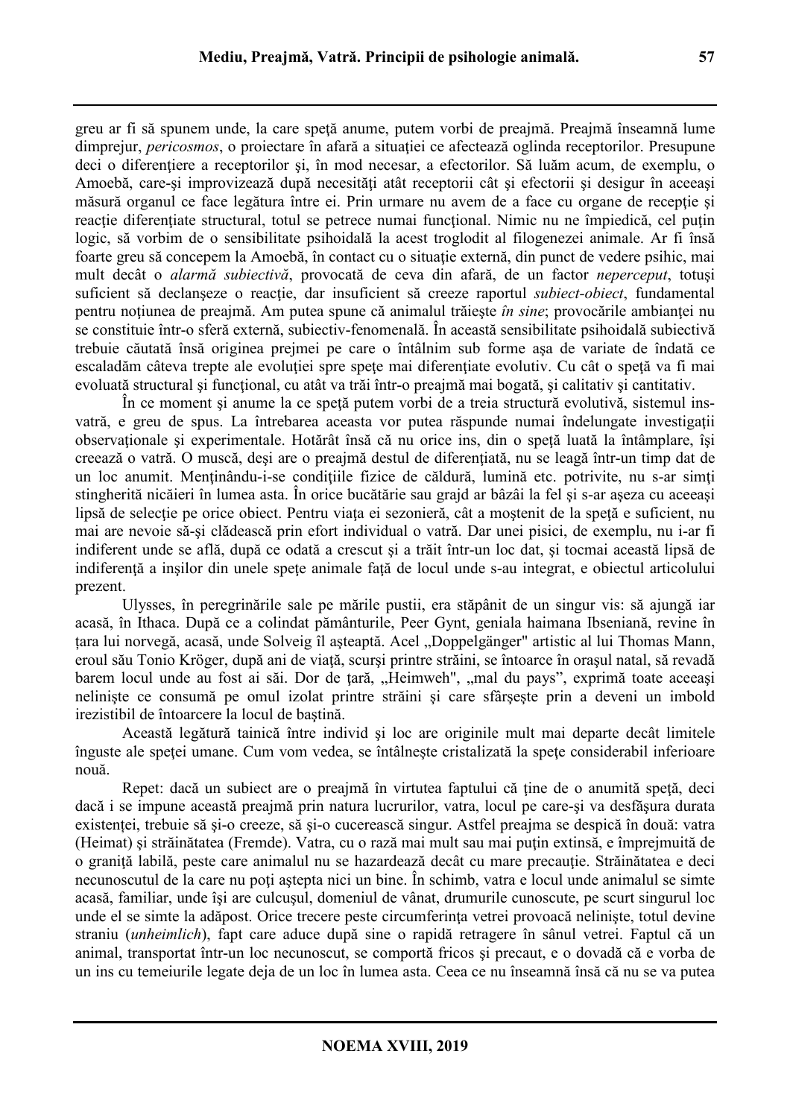greu ar fi să spunem unde, la care spetă anume, putem vorbi de preajmă. Preajmă înseamnă lume dimprejur, *pericosmos*, o projectare în afară a situației ce afectează oglinda receptorilor. Presupune deci o diferenţiere a receptorilor şi, în mod necesar, a efectorilor. Să luăm acum, de exemplu, o Amoebă, care-și improvizează după necesități atât receptorii cât și efectorii și desigur în aceeași măsură organul ce face legătura între ei. Prin urmare nu avem de a face cu organe de recepție și reacție diferențiate structural, totul se petrece numai funcțional. Nimic nu ne împiedică, cel puțin logic, să vorbim de o sensibilitate psihoidală la acest troglodit al filogenezei animale. Ar fi însă foarte greu să concepem la Amoebă, în contact cu o situație externă, din punct de vedere psihic, mai mult decât o *alarmă subiectivă*, provocată de ceva din afară, de un factor *neperceput*, totuşi suficient să declanseze o reactie, dar insuficient să creeze raportul *subiect-obiect*, fundamental pentru noţiunea de preajmă. Am putea spune că animalul trăieşte *în sine*; provocările ambianţei nu se constituie într-o sferă externă, subiectiv-fenomenală. În această sensibilitate psihoidală subiectivă trebuie căutată însă originea prejmei pe care o întâlnim sub forme aşa de variate de îndată ce escaladăm câteva trepte ale evoluției spre spețe mai diferențiate evolutiv. Cu cât o speță va fi mai evoluată structural și funcțional, cu atât va trăi într-o preajmă mai bogată, și calitativ și cantitativ.

În ce moment şi anume la ce speţă putem vorbi de a treia structură evolutivă, sistemul insvatră, e greu de spus. La întrebarea aceasta vor putea răspunde numai îndelungate investigații observationale și experimentale. Hotărât însă că nu orice ins, din o spetă luată la întâmplare, își creează o vatră. O muscă, deși are o preajmă destul de diferențiată, nu se leagă într-un timp dat de un loc anumit. Menținându-i-se condițiile fizice de căldură, lumină etc. potrivite, nu s-ar simti stingherită nicăieri în lumea asta. În orice bucătărie sau grajd ar bâzâi la fel şi s-ar aşeza cu aceeaşi lipsă de selecție pe orice obiect. Pentru viața ei sezonieră, cât a moștenit de la speță e suficient, nu mai are nevoie să-şi clădească prin efort individual o vatră. Dar unei pisici, de exemplu, nu i-ar fi indiferent unde se află, după ce odată a crescut şi a trăit într-un loc dat, şi tocmai această lipsă de indiferentă a insilor din unele spete animale fată de locul unde s-au integrat, e obiectul articolului prezent.

Ulysses, în peregrinările sale pe mările pustii, era stăpânit de un singur vis: să ajungă iar acasă, în Ithaca. După ce a colindat pământurile, Peer Gynt, geniala haimana Ibseniană, revine în tara lui norvegă, acasă, unde Solveig îl așteaptă. Acel "Doppelgänger" artistic al lui Thomas Mann, eroul său Tonio Kröger, după ani de viaţă, scurşi printre străini, se întoarce în oraşul natal, să revadă barem locul unde au fost ai săi. Dor de țară, "Heimweh", "mal du pays", exprimă toate aceeași nelinişte ce consumă pe omul izolat printre străini şi care sfârşeşte prin a deveni un imbold irezistibil de întoarcere la locul de baştină.

Această legătură tainică între individ şi loc are originile mult mai departe decât limitele înguste ale spetei umane. Cum vom vedea, se întâlneste cristalizată la spete considerabil inferioare nouă.

Repet: dacă un subiect are o preajmă în virtutea faptului că ţine de o anumită speţă, deci dacă i se impune această preajmă prin natura lucrurilor, vatra, locul pe care-şi va desfăşura durata existenței, trebuie să şi-o creeze, să şi-o cucerească singur. Astfel preajma se despică în două: vatra (Heimat) şi străinătatea (Fremde). Vatra, cu o rază mai mult sau mai puţin extinsă, e împrejmuită de o graniță labilă, peste care animalul nu se hazardează decât cu mare precauție. Străinătatea e deci necunoscutul de la care nu poti astepta nici un bine. În schimb, vatra e locul unde animalul se simte acasă, familiar, unde îşi are culcuşul, domeniul de vânat, drumurile cunoscute, pe scurt singurul loc unde el se simte la adăpost. Orice trecere peste circumferința vetrei provoacă neliniște, totul devine straniu (*unheimlich*), fapt care aduce după sine o rapidă retragere în sânul vetrei. Faptul că un animal, transportat într-un loc necunoscut, se comportă fricos şi precaut, e o dovadă că e vorba de un ins cu temeiurile legate deja de un loc în lumea asta. Ceea ce nu înseamnă însă că nu se va putea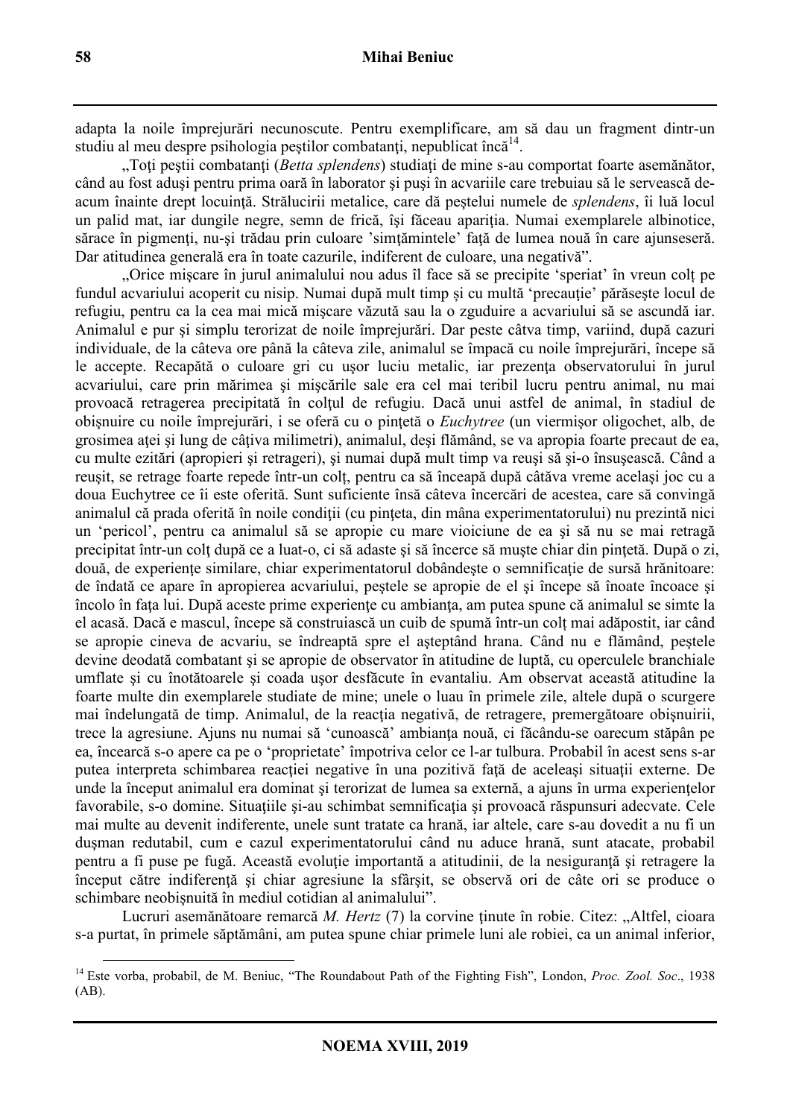adapta la noile împrejurări necunoscute. Pentru exemplificare, am să dau un fragment dintr-un studiu al meu despre psihologia peștilor combatanți, nepublicat încă<sup>14</sup>.

"Toți peștii combatanți (*Betta splendens*) studiați de mine s-au comportat foarte asemănător, când au fost aduşi pentru prima oară în laborator şi puşi în acvariile care trebuiau să le servească deacum înainte drept locuinţă. Strălucirii metalice, care dă peştelui numele de *splendens*, îi luă locul un palid mat, iar dungile negre, semn de frică, îşi făceau apariţia. Numai exemplarele albinotice, sărace în pigmenți, nu-și trădau prin culoare 'simțămintele' față de lumea nouă în care aiunseseră. Dar atitudinea generală era în toate cazurile, indiferent de culoare, una negativă".

"Orice mişcare în jurul animalului nou adus îl face să se precipite 'speriat' în vreun colț pe fundul acvariului acoperit cu nisip. Numai după mult timp și cu multă 'precautie' părăsește locul de refugiu, pentru ca la cea mai mică mişcare văzută sau la o zguduire a acvariului să se ascundă iar. Animalul e pur şi simplu terorizat de noile împrejurări. Dar peste câtva timp, variind, după cazuri individuale, de la câteva ore până la câteva zile, animalul se împacă cu noile împrejurări, începe să le accepte. Recapătă o culoare gri cu usor luciu metalic, iar prezența observatorului în jurul acvariului, care prin mărimea şi mişcările sale era cel mai teribil lucru pentru animal, nu mai provoacă retragerea precipitată în colţul de refugiu. Dacă unui astfel de animal, în stadiul de obişnuire cu noile împrejurări, i se oferă cu o pinţetă o *Euchytree* (un viermişor oligochet, alb, de grosimea atei și lung de câțiva milimetri), animalul, deși flămând, se va apropia foarte precaut de ea, cu multe ezitări (apropieri şi retrageri), şi numai după mult timp va reuşi să şi-o însuşească. Când a reuşit, se retrage foarte repede într-un colț, pentru ca să înceapă după câtăva vreme acelaşi joc cu a doua Euchytree ce îi este oferită. Sunt suficiente însă câteva încercări de acestea, care să convingă animalul că prada oferită în noile condiţii (cu pinţeta, din mâna experimentatorului) nu prezintă nici un 'pericol', pentru ca animalul să se apropie cu mare vioiciune de ea şi să nu se mai retragă precipitat într-un colt după ce a luat-o, ci să adaste și să încerce să muște chiar din pințetă. După o zi, două, de experiențe similare, chiar experimentatorul dobândește o semnificație de sursă hrănitoare: de îndată ce apare în apropierea acvariului, peştele se apropie de el şi începe să înoate încoace şi încolo în faţa lui. După aceste prime experienţe cu ambianţa, am putea spune că animalul se simte la el acasă. Dacă e mascul, începe să construiască un cuib de spumă într-un colț mai adăpostit, iar când se apropie cineva de acvariu, se îndreaptă spre el aşteptând hrana. Când nu e flămând, peştele devine deodată combatant şi se apropie de observator în atitudine de luptă, cu operculele branchiale umflate şi cu înotătoarele şi coada uşor desfăcute în evantaliu. Am observat această atitudine la foarte multe din exemplarele studiate de mine; unele o luau în primele zile, altele după o scurgere mai îndelungată de timp. Animalul, de la reacţia negativă, de retragere, premergătoare obişnuirii, trece la agresiune. Ajuns nu numai să 'cunoască' ambianţa nouă, ci făcându-se oarecum stăpân pe ea, încearcă s-o apere ca pe o 'proprietate' împotriva celor ce l-ar tulbura. Probabil în acest sens s-ar putea interpreta schimbarea reacţiei negative în una pozitivă faţă de aceleaşi situaţii externe. De unde la început animalul era dominat și terorizat de lumea sa externă, a ajuns în urma experiențelor favorabile, s-o domine. Situatiile și-au schimbat semnificația și provoacă răspunsuri adecvate. Cele mai multe au devenit indiferente, unele sunt tratate ca hrană, iar altele, care s-au dovedit a nu fi un duşman redutabil, cum e cazul experimentatorului când nu aduce hrană, sunt atacate, probabil pentru a fi puse pe fugă. Această evoluție importantă a atitudinii, de la nesiguranță și retragere la început către indiferenţă şi chiar agresiune la sfârşit, se observă ori de câte ori se produce o schimbare neobişnuită în mediul cotidian al animalului".

Lucruri asemănătoare remarcă *M. Hertz* (7) la corvine ținute în robie. Citez: "Altfel, cioara s-a purtat, în primele săptămâni, am putea spune chiar primele luni ale robiei, ca un animal inferior,

<sup>14</sup> Este vorba, probabil, de M. Beniuc, "The Roundabout Path of the Fighting Fish", London, *Proc. Zool. Soc*., 1938 (AB).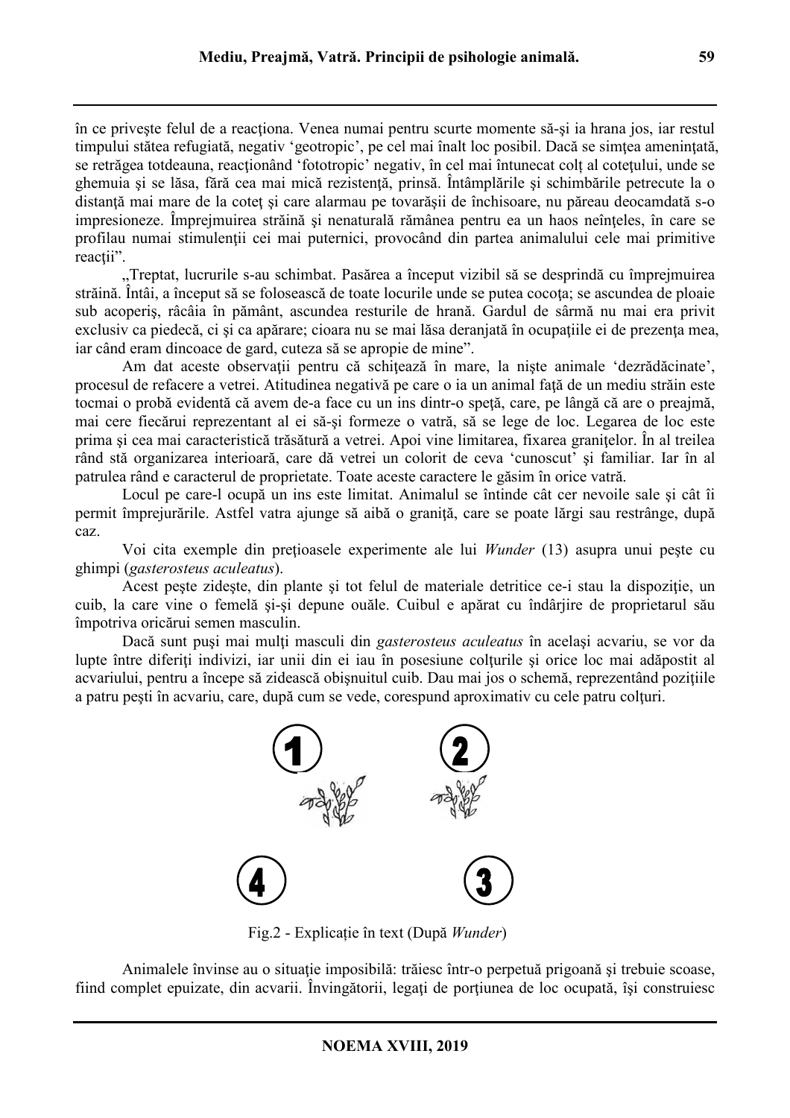în ce priveşte felul de a reacţiona. Venea numai pentru scurte momente să-şi ia hrana jos, iar restul timpului stătea refugiată, negativ 'geotropic', pe cel mai înalt loc posibil. Dacă se simţea ameninţată, se retrăgea totdeauna, reacţionând 'fototropic' negativ, în cel mai întunecat colț al coteţului, unde se ghemuia și se lăsa, fără cea mai mică rezistență, prinsă. Întâmplările și schimbările petrecute la o distanță mai mare de la coteț și care alarmau pe tovarășii de închisoare, nu păreau deocamdată s-o impresioneze. Împrejmuirea străină şi nenaturală rămânea pentru ea un haos neînţeles, în care se profilau numai stimulenţii cei mai puternici, provocând din partea animalului cele mai primitive reactii".

"Treptat, lucrurile s-au schimbat. Pasărea a început vizibil să se desprindă cu împrejmuirea străină. Întâi, a început să se folosească de toate locurile unde se putea cocota; se ascundea de ploaie sub acoperiş, râcâia în pământ, ascundea resturile de hrană. Gardul de sârmă nu mai era privit exclusiv ca piedecă, ci și ca apărare; cioara nu se mai lăsa deranjată în ocupațiile ei de prezența mea, iar când eram dincoace de gard, cuteza să se apropie de mine".

Am dat aceste observații pentru că schițează în mare, la niște animale 'dezrădăcinate', procesul de refacere a vetrei. Atitudinea negativă pe care o ia un animal față de un mediu străin este tocmai o probă evidentă că avem de-a face cu un ins dintr-o speţă, care, pe lângă că are o preajmă, mai cere fiecărui reprezentant al ei să-şi formeze o vatră, să se lege de loc. Legarea de loc este prima şi cea mai caracteristică trăsătură a vetrei. Apoi vine limitarea, fixarea graniţelor. În al treilea rând stă organizarea interioară, care dă vetrei un colorit de ceva 'cunoscut' şi familiar. Iar în al patrulea rând e caracterul de proprietate. Toate aceste caractere le găsim în orice vatră.

Locul pe care-l ocupă un ins este limitat. Animalul se întinde cât cer nevoile sale şi cât îi permit împrejurările. Astfel vatra ajunge să aibă o graniţă, care se poate lărgi sau restrânge, după caz.

Voi cita exemple din preţioasele experimente ale lui *Wunder* (13) asupra unui peşte cu ghimpi (*gasterosteus aculeatus*).

Acest peste zideste, din plante și tot felul de materiale detritice ce-i stau la dispoziție, un cuib, la care vine o femelă şi-şi depune ouăle. Cuibul e apărat cu îndârjire de proprietarul său împotriva oricărui semen masculin.

Dacă sunt puşi mai mulţi masculi din *gasterosteus aculeatus* în acelaşi acvariu, se vor da lupte între diferiți indivizi, iar unii din ei iau în posesiune colturile și orice loc mai adăpostit al acvariului, pentru a începe să zidească obișnuitul cuib. Dau mai jos o schemă, reprezentând pozițiile a patru pești în acvariu, care, după cum se vede, corespund aproximativ cu cele patru colturi.



Fig.2 - Explicație în text (După *Wunder*)

Animalele învinse au o situatie imposibilă: trăiesc într-o perpetuă prigoană și trebuie scoase, fiind complet epuizate, din acvarii. Învingătorii, legați de porțiunea de loc ocupată, își construiesc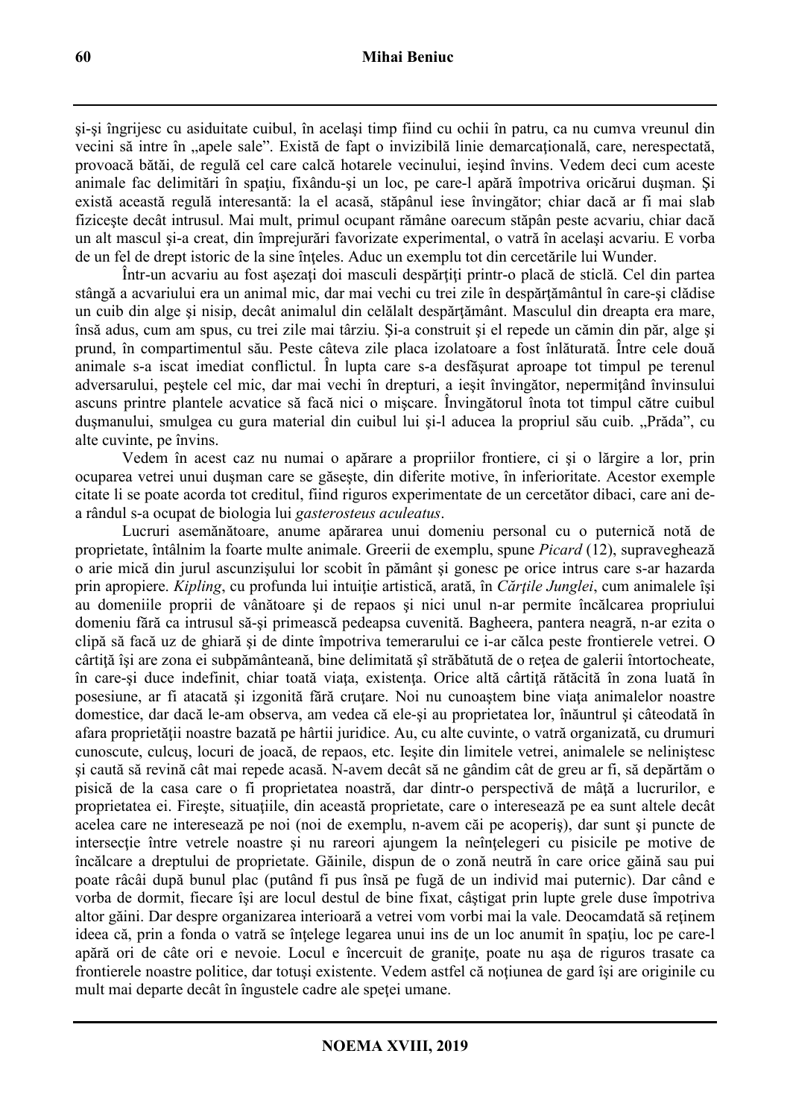şi-şi îngrijesc cu asiduitate cuibul, în acelaşi timp fiind cu ochii în patru, ca nu cumva vreunul din vecini să intre în "apele sale". Există de fapt o invizibilă linie demarcațională, care, nerespectată, provoacă bătăi, de regulă cel care calcă hotarele vecinului, ieşind învins. Vedem deci cum aceste animale fac delimitări în spaţiu, fixându-şi un loc, pe care-l apără împotriva oricărui duşman. Şi există această regulă interesantă: la el acasă, stăpânul iese învingător; chiar dacă ar fi mai slab fiziceşte decât intrusul. Mai mult, primul ocupant rămâne oarecum stăpân peste acvariu, chiar dacă un alt mascul şi-a creat, din împrejurări favorizate experimental, o vatră în acelaşi acvariu. E vorba de un fel de drept istoric de la sine înțeles. Aduc un exemplu tot din cercetările lui Wunder.

Într-un acvariu au fost asezați doi masculi despărțiți printr-o placă de sticlă. Cel din partea stângă a acvariului era un animal mic, dar mai vechi cu trei zile în despărtământul în care-și clădise un cuib din alge şi nisip, decât animalul din celălalt despărţământ. Masculul din dreapta era mare, însă adus, cum am spus, cu trei zile mai târziu. Şi-a construit şi el repede un cămin din păr, alge şi prund, în compartimentul său. Peste câteva zile placa izolatoare a fost înlăturată. Între cele două animale s-a iscat imediat conflictul. În lupta care s-a desfăşurat aproape tot timpul pe terenul adversarului, pestele cel mic, dar mai vechi în drepturi, a ieșit învingător, nepermitând învinsului ascuns printre plantele acvatice să facă nici o mişcare. Învingătorul înota tot timpul către cuibul dușmanului, smulgea cu gura material din cuibul lui și-l aducea la propriul său cuib. "Prăda", cu alte cuvinte, pe învins.

Vedem în acest caz nu numai o apărare a propriilor frontiere, ci şi o lărgire a lor, prin ocuparea vetrei unui duşman care se găseşte, din diferite motive, în inferioritate. Acestor exemple citate li se poate acorda tot creditul, fiind riguros experimentate de un cercetător dibaci, care ani dea rândul s-a ocupat de biologia lui *gasterosteus aculeatus*.

Lucruri asemănătoare, anume apărarea unui domeniu personal cu o puternică notă de proprietate, întâlnim la foarte multe animale. Greerii de exemplu, spune *Picard* (12), supraveghează o arie mică din jurul ascunzişului lor scobit în pământ şi gonesc pe orice intrus care s-ar hazarda prin apropiere. *Kipling*, cu profunda lui intuiţie artistică, arată, în *Cărţile Junglei*, cum animalele îşi au domeniile proprii de vânătoare şi de repaos şi nici unul n-ar permite încălcarea propriului domeniu fără ca intrusul să-şi primească pedeapsa cuvenită. Bagheera, pantera neagră, n-ar ezita o clipă să facă uz de ghiară şi de dinte împotriva temerarului ce i-ar călca peste frontierele vetrei. O cârtită își are zona ei subpământeană, bine delimitată și străbătută de o retea de galerii întortocheate, în care-si duce indefinit, chiar toată viata, existența. Orice altă cârtită rătăcită în zona luată în posesiune, ar fi atacată și izgonită fără crutare. Noi nu cunoaștem bine viața animalelor noastre domestice, dar dacă le-am observa, am vedea că ele-şi au proprietatea lor, înăuntrul şi câteodată în afara proprietății noastre bazată pe hârtii juridice. Au, cu alte cuvinte, o vatră organizată, cu drumuri cunoscute, culcuş, locuri de joacă, de repaos, etc. Ieşite din limitele vetrei, animalele se neliniştesc şi caută să revină cât mai repede acasă. N-avem decât să ne gândim cât de greu ar fi, să depărtăm o pisică de la casa care o fi proprietatea noastră, dar dintr-o perspectivă de mâţă a lucrurilor, e proprietatea ei. Fireste, situațiile, din această proprietate, care o interesează pe ea sunt altele decât acelea care ne interesează pe noi (noi de exemplu, n-avem căi pe acoperiş), dar sunt şi puncte de intersectie între vetrele noastre și nu rareori ajungem la neînțelegeri cu pisicile pe motive de încălcare a dreptului de proprietate. Găinile, dispun de o zonă neutră în care orice găină sau pui poate râcâi după bunul plac (putând fi pus însă pe fugă de un individ mai puternic). Dar când e vorba de dormit, fiecare îşi are locul destul de bine fixat, câştigat prin lupte grele duse împotriva altor găini. Dar despre organizarea interioară a vetrei vom vorbi mai la vale. Deocamdată să reţinem ideea că, prin a fonda o vatră se înţelege legarea unui ins de un loc anumit în spaţiu, loc pe care-l apără ori de câte ori e nevoie. Locul e încercuit de granite, poate nu asa de riguros trasate ca frontierele noastre politice, dar totusi existente. Vedem astfel că notiunea de gard își are originile cu mult mai departe decât în îngustele cadre ale speţei umane.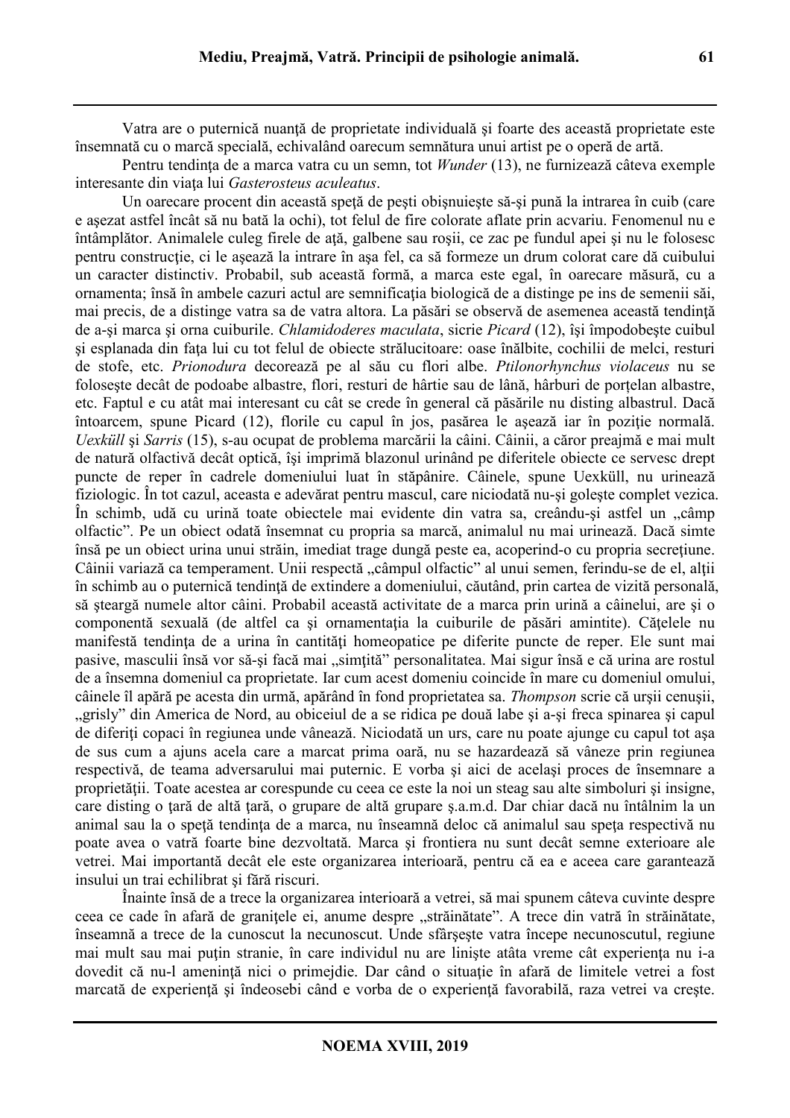Vatra are o puternică nuanţă de proprietate individuală şi foarte des această proprietate este însemnată cu o marcă specială, echivalând oarecum semnătura unui artist pe o operă de artă.

Pentru tendinţa de a marca vatra cu un semn, tot *Wunder* (13), ne furnizează câteva exemple interesante din viaţa lui *Gasterosteus aculeatus*.

Un oarecare procent din această speţă de peşti obişnuieşte să-şi pună la intrarea în cuib (care e aşezat astfel încât să nu bată la ochi), tot felul de fire colorate aflate prin acvariu. Fenomenul nu e întâmplător. Animalele culeg firele de aţă, galbene sau roşii, ce zac pe fundul apei şi nu le folosesc pentru construcție, ci le așează la intrare în așa fel, ca să formeze un drum colorat care dă cuibului un caracter distinctiv. Probabil, sub această formă, a marca este egal, în oarecare măsură, cu a ornamenta; însă în ambele cazuri actul are semnificația biologică de a distinge pe ins de semenii săi, mai precis, de a distinge vatra sa de vatra altora. La păsări se observă de asemenea această tendinţă de a-şi marca şi orna cuiburile. *Chlamidoderes maculata*, sicrie *Picard* (12), îşi împodobeşte cuibul si esplanada din fata lui cu tot felul de obiecte strălucitoare: oase înălbite, cochilii de melci, resturi de stofe, etc. *Prionodura* decorează pe al său cu flori albe. *Ptilonorhynchus violaceus* nu se foloseşte decât de podoabe albastre, flori, resturi de hârtie sau de lână, hârburi de porțelan albastre, etc. Faptul e cu atât mai interesant cu cât se crede în general că păsările nu disting albastrul. Dacă întoarcem, spune Picard (12), florile cu capul în jos, pasărea le asează iar în poziție normală. *Uexküll* şi *Sarris* (15), s-au ocupat de problema marcării la câini. Câinii, a căror preajmă e mai mult de natură olfactivă decât optică, îşi imprimă blazonul urinând pe diferitele obiecte ce servesc drept puncte de reper în cadrele domeniului luat în stăpânire. Câinele, spune Uexküll, nu urinează fiziologic. În tot cazul, aceasta e adevărat pentru mascul, care niciodată nu-şi goleşte complet vezica. În schimb, udă cu urină toate obiectele mai evidente din vatra sa, creându-și astfel un "câmp olfactic". Pe un obiect odată însemnat cu propria sa marcă, animalul nu mai urinează. Dacă simte însă pe un obiect urina unui străin, imediat trage dungă peste ea, acoperind-o cu propria secreţiune. Câinii variază ca temperament. Unii respectă "câmpul olfactic" al unui semen, ferindu-se de el, alții în schimb au o puternică tendinţă de extindere a domeniului, căutând, prin cartea de vizită personală, să şteargă numele altor câini. Probabil această activitate de a marca prin urină a câinelui, are şi o componentă sexuală (de altfel ca si ornamentația la cuiburile de păsări amintite). Cătelele nu manifestă tendinţa de a urina în cantităţi homeopatice pe diferite puncte de reper. Ele sunt mai pasive, masculii însă vor să-și facă mai "simțită" personalitatea. Mai sigur însă e că urina are rostul de a însemna domeniul ca proprietate. Iar cum acest domeniu coincide în mare cu domeniul omului, câinele îl apără pe acesta din urmă, apărând în fond proprietatea sa. *Thompson* scrie că urşii cenuşii, "grisly" din America de Nord, au obiceiul de a se ridica pe două labe și a-și freca spinarea și capul de diferiți copaci în regiunea unde vânează. Niciodată un urs, care nu poate ajunge cu capul tot asa de sus cum a ajuns acela care a marcat prima oară, nu se hazardează să vâneze prin regiunea respectivă, de teama adversarului mai puternic. E vorba şi aici de acelaşi proces de însemnare a proprietăţii. Toate acestea ar corespunde cu ceea ce este la noi un steag sau alte simboluri şi insigne, care disting o tară de altă tară, o grupare de altă grupare s.a.m.d. Dar chiar dacă nu întâlnim la un animal sau la o speță tendința de a marca, nu înseamnă deloc că animalul sau speța respectivă nu poate avea o vatră foarte bine dezvoltată. Marca şi frontiera nu sunt decât semne exterioare ale vetrei. Mai importantă decât ele este organizarea interioară, pentru că ea e aceea care garantează insului un trai echilibrat şi fără riscuri.

Înainte însă de a trece la organizarea interioară a vetrei, să mai spunem câteva cuvinte despre ceea ce cade în afară de granițele ei, anume despre "străinătate". A trece din vatră în străinătate, înseamnă a trece de la cunoscut la necunoscut. Unde sfârşeşte vatra începe necunoscutul, regiune mai mult sau mai putin stranie, în care individul nu are liniste atâta vreme cât experienta nu i-a dovedit că nu-l amenință nici o primejdie. Dar când o situație în afară de limitele vetrei a fost marcată de experienţă şi îndeosebi când e vorba de o experienţă favorabilă, raza vetrei va creşte.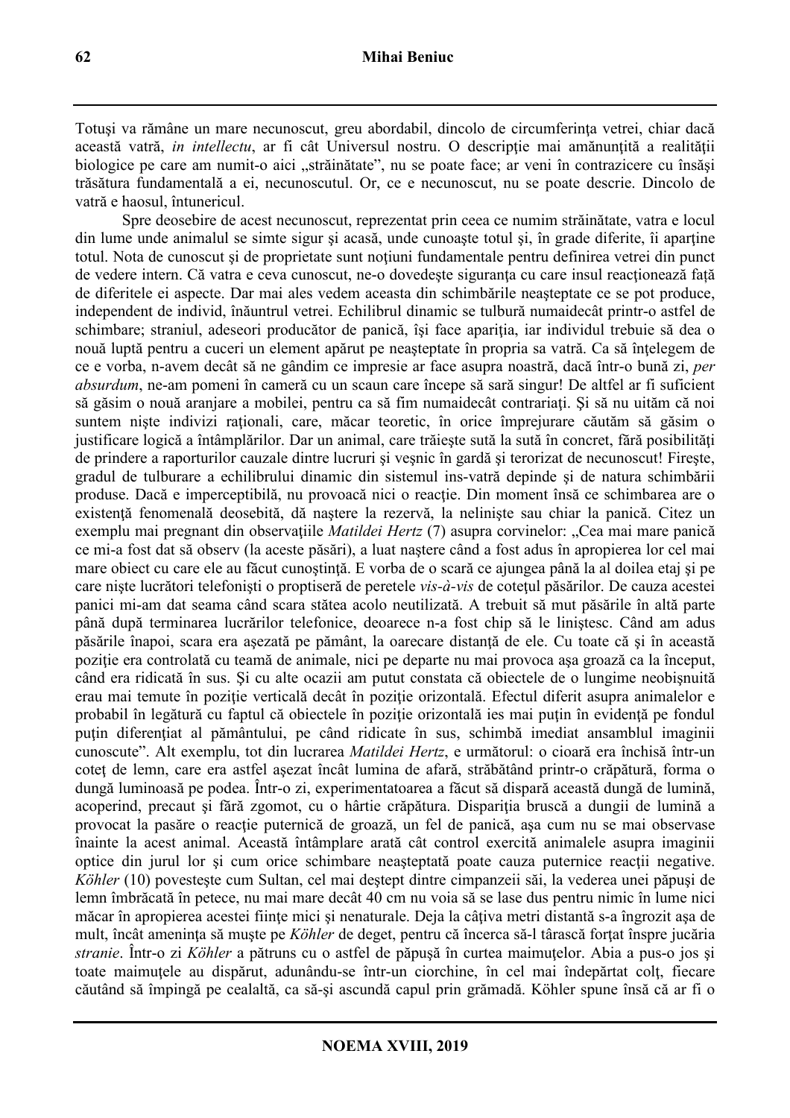Totuşi va rămâne un mare necunoscut, greu abordabil, dincolo de circumferinţa vetrei, chiar dacă această vatră, *in intellectu*, ar fi cât Universul nostru. O descripție mai amănunțită a realității biologice pe care am numit-o aici "străinătate", nu se poate face; ar veni în contrazicere cu însăși trăsătura fundamentală a ei, necunoscutul. Or, ce e necunoscut, nu se poate descrie. Dincolo de vatră e haosul, întunericul.

Spre deosebire de acest necunoscut, reprezentat prin ceea ce numim străinătate, vatra e locul din lume unde animalul se simte sigur si acasă, unde cunoaște totul și, în grade diferite, îi aparține totul. Nota de cunoscut și de proprietate sunt noțiuni fundamentale pentru definirea vetrei din punct de vedere intern. Că vatra e ceva cunoscut, ne-o dovedește siguranța cu care insul reacționează față de diferitele ei aspecte. Dar mai ales vedem aceasta din schimbările neaşteptate ce se pot produce, independent de individ, înăuntrul vetrei. Echilibrul dinamic se tulbură numaidecât printr-o astfel de schimbare; straniul, adeseori producător de panică, își face apariția, iar individul trebuie să dea o nouă luptă pentru a cuceri un element apărut pe neasteptate în propria sa vatră. Ca să întelegem de ce e vorba, n-avem decât să ne gândim ce impresie ar face asupra noastră, dacă într-o bună zi, *per absurdum*, ne-am pomeni în cameră cu un scaun care începe să sară singur! De altfel ar fi suficient să găsim o nouă aranjare a mobilei, pentru ca să fim numaidecât contrariaţi. Şi să nu uităm că noi suntem niște indivizi raționali, care, măcar teoretic, în orice împrejurare căutăm să găsim o justificare logică a întâmplărilor. Dar un animal, care trăiește sută la sută în concret, fără posibilități de prindere a raporturilor cauzale dintre lucruri şi veşnic în gardă şi terorizat de necunoscut! Fireşte, gradul de tulburare a echilibrului dinamic din sistemul ins-vatră depinde şi de natura schimbării produse. Dacă e imperceptibilă, nu provoacă nici o reacție. Din moment însă ce schimbarea are o existenţă fenomenală deosebită, dă naştere la rezervă, la nelinişte sau chiar la panică. Citez un exemplu mai pregnant din observatiile *Matildei Hertz* (7) asupra corvinelor: "Cea mai mare panică ce mi-a fost dat să observ (la aceste păsări), a luat naştere când a fost adus în apropierea lor cel mai mare obiect cu care ele au făcut cunoștință. E vorba de o scară ce ajungea până la al doilea etaj și pe care nişte lucrători telefonişti o proptiseră de peretele *vis-à-vis* de coteţul păsărilor. De cauza acestei panici mi-am dat seama când scara stătea acolo neutilizată. A trebuit să mut păsările în altă parte până după terminarea lucrărilor telefonice, deoarece n-a fost chip să le liniştesc. Când am adus păsările înapoi, scara era aşezată pe pământ, la oarecare distanţă de ele. Cu toate că şi în această poziţie era controlată cu teamă de animale, nici pe departe nu mai provoca aşa groază ca la început, când era ridicată în sus. Şi cu alte ocazii am putut constata că obiectele de o lungime neobişnuită erau mai temute în poziție verticală decât în poziție orizontală. Efectul diferit asupra animalelor e probabil în legătură cu faptul că obiectele în poziţie orizontală ies mai puţin în evidenţă pe fondul puțin diferențiat al pământului, pe când ridicate în sus, schimbă imediat ansamblul imaginii cunoscute". Alt exemplu, tot din lucrarea *Matildei Hertz*, e următorul: o cioară era închisă într-un coteţ de lemn, care era astfel aşezat încât lumina de afară, străbătând printr-o crăpătură, forma o dungă luminoasă pe podea. Într-o zi, experimentatoarea a făcut să dispară această dungă de lumină, acoperind, precaut și fără zgomot, cu o hârtie crăpătura. Dispariția bruscă a dungii de lumină a provocat la pasăre o reacţie puternică de groază, un fel de panică, aşa cum nu se mai observase înainte la acest animal. Această întâmplare arată cât control exercită animalele asupra imaginii optice din jurul lor şi cum orice schimbare neaşteptată poate cauza puternice reacţii negative. *Köhler* (10) povesteşte cum Sultan, cel mai deştept dintre cimpanzeii săi, la vederea unei păpuşi de lemn îmbrăcată în petece, nu mai mare decât 40 cm nu voia să se lase dus pentru nimic în lume nici măcar în apropierea acestei ființe mici și nenaturale. Deja la câțiva metri distantă s-a îngrozit așa de mult, încât ameninta să muste pe *Köhler* de deget, pentru că încerca să-l târască fortat înspre jucăria *stranie*. Într-o zi *Köhler* a pătruns cu o astfel de păpusă în curtea maimutelor. Abia a pus-o jos și toate maimutele au dispărut, adunându-se într-un ciorchine, în cel mai îndepărtat colt, fiecare căutând să împingă pe cealaltă, ca să-şi ascundă capul prin grămadă. Köhler spune însă că ar fi o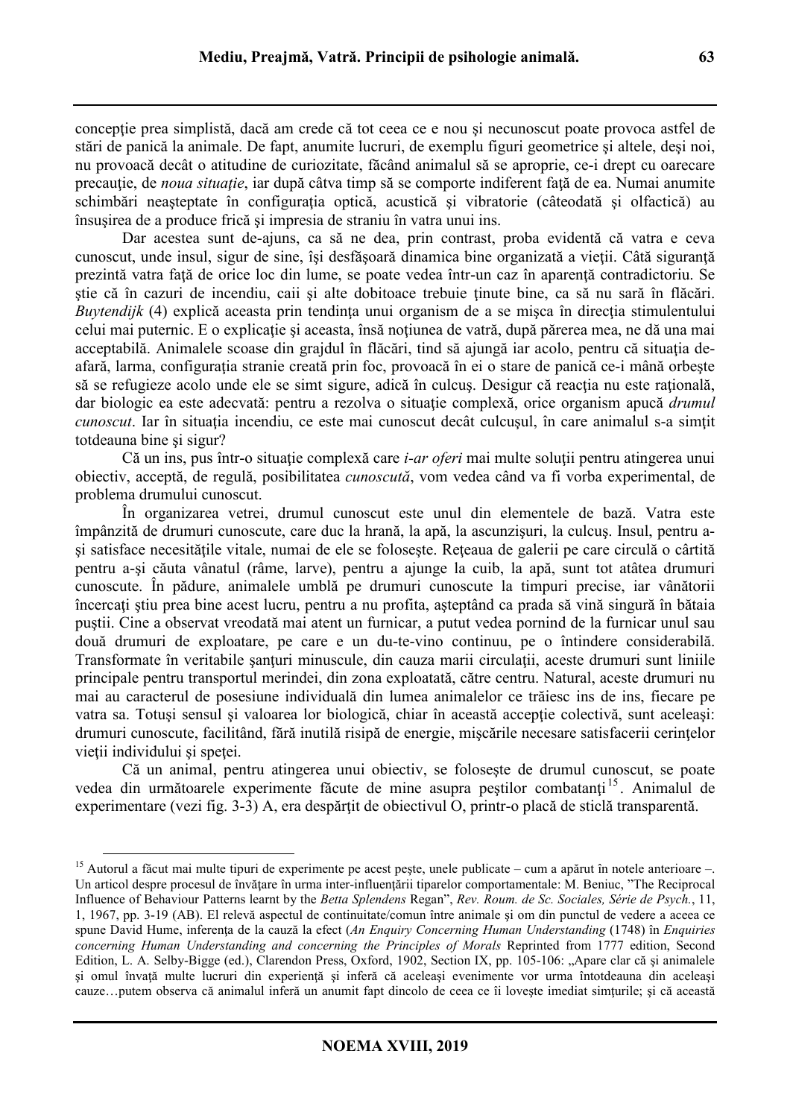conceptie prea simplistă, dacă am crede că tot ceea ce e nou și necunoscut poate provoca astfel de stări de panică la animale. De fapt, anumite lucruri, de exemplu figuri geometrice şi altele, deşi noi, nu provoacă decât o atitudine de curiozitate, făcând animalul să se aproprie, ce-i drept cu oarecare precautie, de *noua situație*, iar după câtva timp să se comporte indiferent față de ea. Numai anumite schimbări neașteptate în configurația optică, acustică și vibratorie (câteodată și olfactică) au însuşirea de a produce frică şi impresia de straniu în vatra unui ins.

Dar acestea sunt de-ajuns, ca să ne dea, prin contrast, proba evidentă că vatra e ceva cunoscut, unde insul, sigur de sine, își desfășoară dinamica bine organizată a vieții. Câtă siguranță prezintă vatra față de orice loc din lume, se poate vedea într-un caz în aparență contradictoriu. Se stie că în cazuri de incendiu, caii și alte dobitoace trebuie ținute bine, ca să nu sară în flăcări. *Buytendijk* (4) explică aceasta prin tendința unui organism de a se mișca în direcția stimulentului celui mai puternic. E o explicație și aceasta, însă noțiunea de vatră, după părerea mea, ne dă una mai acceptabilă. Animalele scoase din grajdul în flăcări, tind să ajungă iar acolo, pentru că situatia deafară, larma, configuraţia stranie creată prin foc, provoacă în ei o stare de panică ce-i mână orbeşte să se refugieze acolo unde ele se simt sigure, adică în culcus. Desigur că reactia nu este ratională, dar biologic ea este adecvată: pentru a rezolva o situaţie complexă, orice organism apucă *drumul cunoscut*. Iar în situația incendiu, ce este mai cunoscut decât culcusul, în care animalul s-a simțit totdeauna bine si sigur?

Că un ins, pus într-o situație complexă care *i-ar oferi* mai multe soluții pentru atingerea unui obiectiv, acceptă, de regulă, posibilitatea *cunoscută*, vom vedea când va fi vorba experimental, de problema drumului cunoscut.

În organizarea vetrei, drumul cunoscut este unul din elementele de bază. Vatra este împânzită de drumuri cunoscute, care duc la hrană, la apă, la ascunzişuri, la culcuş. Insul, pentru asi satisface necesitățile vitale, numai de ele se folosește. Rețeaua de galerii pe care circulă o cârtită pentru a-şi căuta vânatul (râme, larve), pentru a ajunge la cuib, la apă, sunt tot atâtea drumuri cunoscute. În pădure, animalele umblă pe drumuri cunoscute la timpuri precise, iar vânătorii încercaţi ştiu prea bine acest lucru, pentru a nu profita, aşteptând ca prada să vină singură în bătaia puştii. Cine a observat vreodată mai atent un furnicar, a putut vedea pornind de la furnicar unul sau două drumuri de exploatare, pe care e un du-te-vino continuu, pe o întindere considerabilă. Transformate în veritabile santuri minuscule, din cauza marii circulații, aceste drumuri sunt liniile principale pentru transportul merindei, din zona exploatată, către centru. Natural, aceste drumuri nu mai au caracterul de posesiune individuală din lumea animalelor ce trăiesc ins de ins, fiecare pe vatra sa. Totusi sensul și valoarea lor biologică, chiar în această acceptie colectivă, sunt aceleași: drumuri cunoscute, facilitând, fără inutilă risipă de energie, mişcările necesare satisfacerii cerinţelor vietii individului și spetei.

Că un animal, pentru atingerea unui obiectiv, se foloseşte de drumul cunoscut, se poate vedea din următoarele experimente făcute de mine asupra peștilor combatanți<sup>15</sup>. Animalul de experimentare (vezi fig. 3-3) A, era despărțit de obiectivul O, printr-o placă de sticlă transparentă.

<sup>&</sup>lt;sup>15</sup> Autorul a făcut mai multe tipuri de experimente pe acest pește, unele publicate – cum a apărut în notele anterioare –. Un articol despre procesul de învătare în urma inter-influențării tiparelor comportamentale: M. Beniuc, "The Reciprocal Influence of Behaviour Patterns learnt by the *Betta Splendens* Regan", *Rev. Roum. de Sc. Sociales, Série de Psych.*, 11, 1, 1967, pp. 3-19 (AB). El relevă aspectul de continuitate/comun între animale şi om din punctul de vedere a aceea ce spune David Hume, inferența de la cauză la efect (*An Enquiry Concerning Human Understanding* (1748) în *Enquiries concerning Human Understanding and concerning the Principles of Morals* Reprinted from 1777 edition, Second Edition, L. A. Selby-Bigge (ed.), Clarendon Press, Oxford, 1902, Section IX, pp. 105-106: "Apare clar că și animalele şi omul învaţă multe lucruri din experienţă şi inferă că aceleaşi evenimente vor urma întotdeauna din aceleaşi cauze…putem observa că animalul inferă un anumit fapt dincolo de ceea ce îi loveste imediat simturile; și că această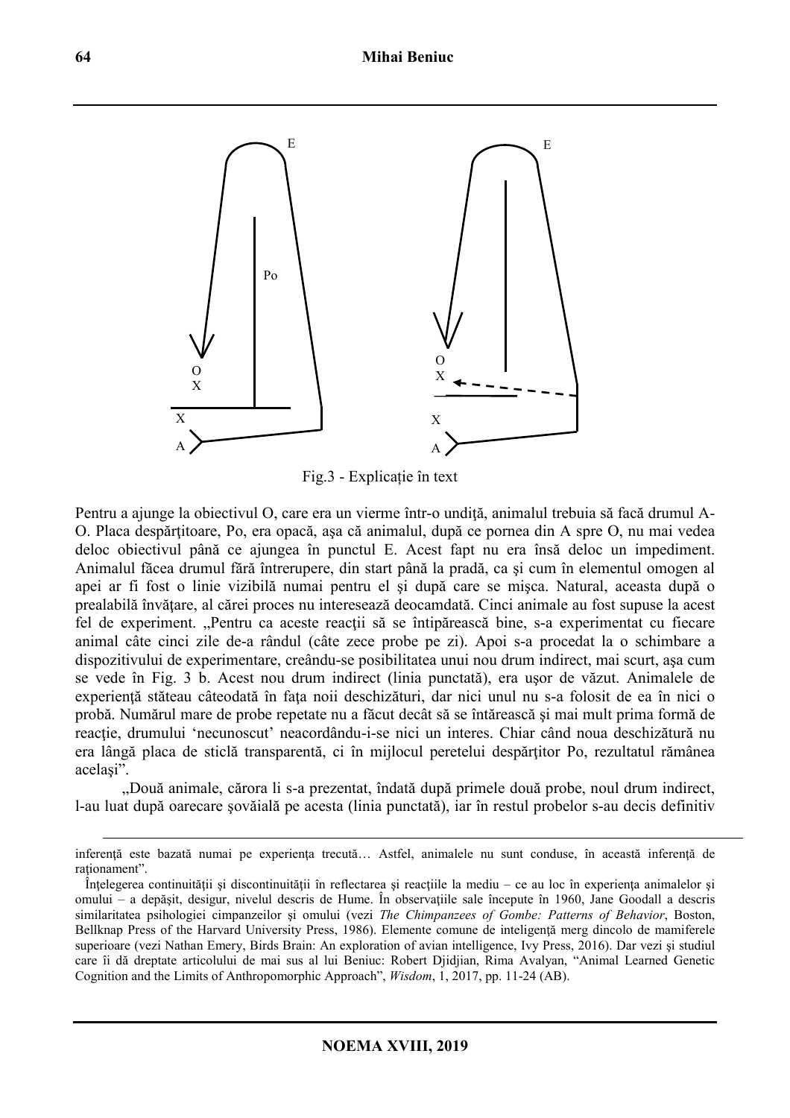

Fig.3 - Explicație în text

Pentru a ajunge la obiectivul O, care era un vierme într-o undiţă, animalul trebuia să facă drumul A-O. Placa despărtitoare, Po, era opacă, asa că animalul, după ce pornea din A spre O, nu mai vedea deloc obiectivul până ce ajungea în punctul E. Acest fapt nu era însă deloc un impediment. Animalul făcea drumul fără întrerupere, din start până la pradă, ca şi cum în elementul omogen al apei ar fi fost o linie vizibilă numai pentru el şi după care se mişca. Natural, aceasta după o prealabilă învătare, al cărei proces nu interesează deocamdată. Cinci animale au fost supuse la acest fel de experiment. "Pentru ca aceste reactii să se întipărească bine, s-a experimentat cu fiecare animal câte cinci zile de-a rândul (câte zece probe pe zi). Apoi s-a procedat la o schimbare a dispozitivului de experimentare, creându-se posibilitatea unui nou drum indirect, mai scurt, aşa cum se vede în Fig. 3 b. Acest nou drum indirect (linia punctată), era uşor de văzut. Animalele de experienţă stăteau câteodată în faţa noii deschizături, dar nici unul nu s-a folosit de ea în nici o probă. Numărul mare de probe repetate nu a făcut decât să se întărească şi mai mult prima formă de reacție, drumului 'necunoscut' neacordându-i-se nici un interes. Chiar când noua deschizătură nu era lângă placa de sticlă transparentă, ci în mijlocul peretelui despărtitor Po, rezultatul rămânea acelaşi".

"Două animale, cărora li s-a prezentat, îndată după primele două probe, noul drum indirect, l-au luat după oarecare şovăială pe acesta (linia punctată), iar în restul probelor s-au decis definitiv

inferență este bazată numai pe experiența trecută... Astfel, animalele nu sunt conduse, în această inferență de rationament".

Înțelegerea continuității și discontinuității în reflectarea și reacțiile la mediu – ce au loc în experiența animalelor și omului – a depăşit, desigur, nivelul descris de Hume. În observaţiile sale începute în 1960, Jane Goodall a descris similaritatea psihologiei cimpanzeilor şi omului (vezi *The Chimpanzees of Gombe: Patterns of Behavior*, Boston, Bellknap Press of the Harvard University Press, 1986). Elemente comune de inteligentă merg dincolo de mamiferele superioare (vezi Nathan Emery, Birds Brain: An exploration of avian intelligence, Ivy Press, 2016). Dar vezi şi studiul care îi dă dreptate articolului de mai sus al lui Beniuc: Robert Djidjian, Rima Avalyan, "Animal Learned Genetic Cognition and the Limits of Anthropomorphic Approach", *Wisdom*, 1, 2017, pp. 11-24 (AB).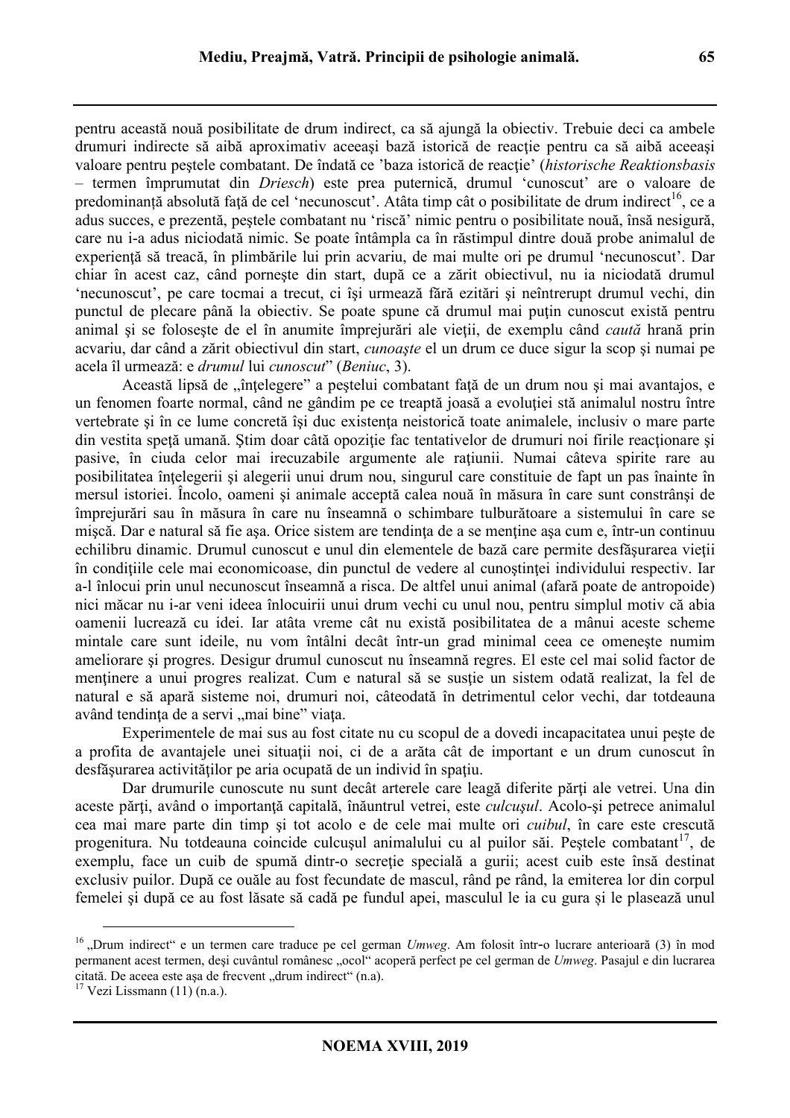pentru această nouă posibilitate de drum indirect, ca să ajungă la obiectiv. Trebuie deci ca ambele drumuri indirecte să aibă aproximativ aceeași bază istorică de reacție pentru ca să aibă aceeași valoare pentru peştele combatant. De îndată ce 'baza istorică de reacţie' (*historische Reaktionsbasis*  – termen împrumutat din *Driesch*) este prea puternică, drumul 'cunoscut' are o valoare de predominanță absolută față de cel 'necunoscut'. Atâta timp cât o posibilitate de drum indirect<sup>16</sup>, ce a adus succes, e prezentă, peştele combatant nu 'riscă' nimic pentru o posibilitate nouă, însă nesigură, care nu i-a adus niciodată nimic. Se poate întâmpla ca în răstimpul dintre două probe animalul de experiență să treacă, în plimbările lui prin acvariu, de mai multe ori pe drumul 'necunoscut'. Dar chiar în acest caz, când porneşte din start, după ce a zărit obiectivul, nu ia niciodată drumul 'necunoscut', pe care tocmai a trecut, ci îşi urmează fără ezitări şi neîntrerupt drumul vechi, din punctul de plecare până la obiectiv. Se poate spune că drumul mai puţin cunoscut există pentru animal şi se foloseşte de el în anumite împrejurări ale vieţii, de exemplu când *caută* hrană prin acvariu, dar când a zărit obiectivul din start, *cunoaşte* el un drum ce duce sigur la scop şi numai pe acela îl urmează: e *drumul* lui *cunoscut*" (*Beniuc*, 3).

Această lipsă de "întelegere" a pestelui combatant față de un drum nou și mai avantajos, e un fenomen foarte normal, când ne gândim pe ce treaptă joasă a evoluţiei stă animalul nostru între vertebrate și în ce lume concretă își duc existența neistorică toate animalele, inclusiv o mare parte din vestita speţă umană. Ştim doar câtă opoziţie fac tentativelor de drumuri noi firile reacţionare şi pasive, în ciuda celor mai irecuzabile argumente ale ratiunii. Numai câteva spirite rare au posibilitatea întelegerii și alegerii unui drum nou, singurul care constituie de fapt un pas înainte în mersul istoriei. Încolo, oameni şi animale acceptă calea nouă în măsura în care sunt constrânşi de împrejurări sau în măsura în care nu înseamnă o schimbare tulburătoare a sistemului în care se miscă. Dar e natural să fie asa. Orice sistem are tendința de a se menține asa cum e, într-un continuu echilibru dinamic. Drumul cunoscut e unul din elementele de bază care permite desfăşurarea vieţii în conditiile cele mai economicoase, din punctul de vedere al cunostintei individului respectiv. Iar a-l înlocui prin unul necunoscut înseamnă a risca. De altfel unui animal (afară poate de antropoide) nici măcar nu i-ar veni ideea înlocuirii unui drum vechi cu unul nou, pentru simplul motiv că abia oamenii lucrează cu idei. Iar atâta vreme cât nu există posibilitatea de a mânui aceste scheme mintale care sunt ideile, nu vom întâlni decât într-un grad minimal ceea ce omeneşte numim ameliorare şi progres. Desigur drumul cunoscut nu înseamnă regres. El este cel mai solid factor de mentinere a unui progres realizat. Cum e natural să se sustie un sistem odată realizat, la fel de natural e să apară sisteme noi, drumuri noi, câteodată în detrimentul celor vechi, dar totdeauna având tendința de a servi "mai bine" viața.

Experimentele de mai sus au fost citate nu cu scopul de a dovedi incapacitatea unui peşte de a profita de avantajele unei situatii noi, ci de a arăta cât de important e un drum cunoscut în desfăşurarea activităţilor pe aria ocupată de un individ în spaţiu.

Dar drumurile cunoscute nu sunt decât arterele care leagă diferite părți ale vetrei. Una din aceste părți, având o importanță capitală, înăuntrul vetrei, este *culcusul*. Acolo-și petrece animalul cea mai mare parte din timp şi tot acolo e de cele mai multe ori *cuibul*, în care este crescută progenitura. Nu totdeauna coincide culcușul animalului cu al puilor săi. Peștele combatant<sup>17</sup>, de exemplu, face un cuib de spumă dintr-o secreție specială a gurii; acest cuib este însă destinat exclusiv puilor. După ce ouăle au fost fecundate de mascul, rând pe rând, la emiterea lor din corpul femelei şi după ce au fost lăsate să cadă pe fundul apei, masculul le ia cu gura și le plasează unul

<sup>&</sup>lt;sup>16</sup> "Drum indirect" e un termen care traduce pe cel german *Umweg*. Am folosit într-o lucrare anterioară (3) în mod permanent acest termen, deși cuvântul românesc "ocol" acoperă perfect pe cel german de *Umweg*. Pasajul e din lucrarea citată. De aceea este așa de frecvent "drum indirect" (n.a).

 $17$  Vezi Lissmann (11) (n.a.).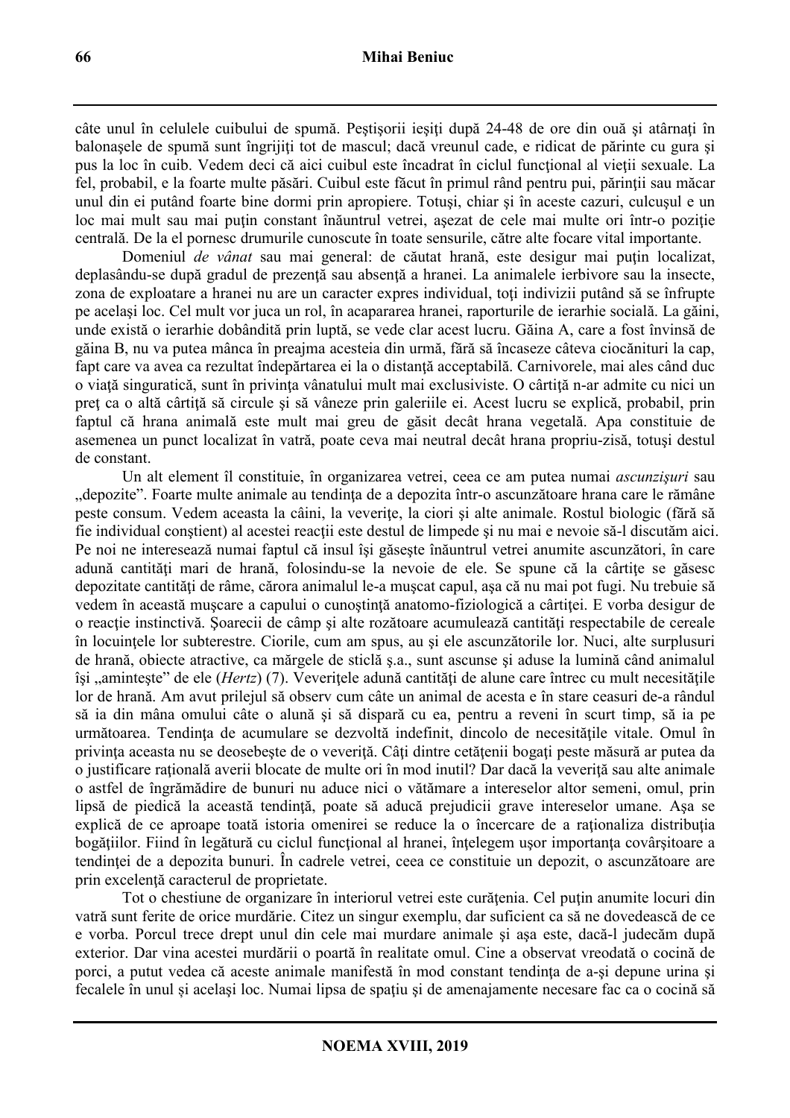câte unul în celulele cuibului de spumă. Pestisorii ieșiti după 24-48 de ore din ouă și atârnați în balonașele de spumă sunt îngrijiți tot de mascul; dacă vreunul cade, e ridicat de părinte cu gura și pus la loc în cuib. Vedem deci că aici cuibul este încadrat în ciclul funcţional al vieţii sexuale. La fel, probabil, e la foarte multe păsări. Cuibul este făcut în primul rând pentru pui, părinții sau măcar unul din ei putând foarte bine dormi prin apropiere. Totuşi, chiar şi în aceste cazuri, culcuşul e un loc mai mult sau mai puţin constant înăuntrul vetrei, aşezat de cele mai multe ori într-o poziţie centrală. De la el pornesc drumurile cunoscute în toate sensurile, către alte focare vital importante.

Domeniul *de vânat* sau mai general: de căutat hrană, este desigur mai puțin localizat, deplasându-se după gradul de prezență sau absență a hranei. La animalele ierbivore sau la insecte, zona de exploatare a hranei nu are un caracter expres individual, toti indivizii putând să se înfrupte pe acelaşi loc. Cel mult vor juca un rol, în acapararea hranei, raporturile de ierarhie socială. La găini, unde există o ierarhie dobândită prin luptă, se vede clar acest lucru. Găina A, care a fost învinsă de găina B, nu va putea mânca în preajma acesteia din urmă, fără să încaseze câteva ciocănituri la cap, fapt care va avea ca rezultat îndepărtarea ei la o distanță acceptabilă. Carnivorele, mai ales când duc o viată singuratică, sunt în privința vânatului mult mai exclusiviste. O cârtită n-ar admite cu nici un preţ ca o altă cârtiţă să circule şi să vâneze prin galeriile ei. Acest lucru se explică, probabil, prin faptul că hrana animală este mult mai greu de găsit decât hrana vegetală. Apa constituie de asemenea un punct localizat în vatră, poate ceva mai neutral decât hrana propriu-zisă, totuşi destul de constant.

Un alt element îl constituie, în organizarea vetrei, ceea ce am putea numai *ascunzişuri* sau "depozite". Foarte multe animale au tendinţa de a depozita într-o ascunzătoare hrana care le rămâne peste consum. Vedem aceasta la câini, la veverițe, la ciori și alte animale. Rostul biologic (fără să fie individual constient) al acestei reactii este destul de limpede și nu mai e nevoie să-l discutăm aici. Pe noi ne interesează numai faptul că insul îşi găseşte înăuntrul vetrei anumite ascunzători, în care adună cantități mari de hrană, folosindu-se la nevoie de ele. Se spune că la cârtițe se găsesc depozitate cantități de râme, cărora animalul le-a mușcat capul, așa că nu mai pot fugi. Nu trebuie să vedem în această muscare a capului o cunoștință anatomo-fiziologică a cârtiței. E vorba desigur de o reactie instinctivă. Soarecii de câmp și alte rozătoare acumulează cantități respectabile de cereale în locuinţele lor subterestre. Ciorile, cum am spus, au şi ele ascunzătorile lor. Nuci, alte surplusuri de hrană, obiecte atractive, ca mărgele de sticlă ş.a., sunt ascunse şi aduse la lumină când animalul își ..amintește" de ele (*Hertz*) (7). Veveritele adună cantități de alune care întrec cu mult necesitățile lor de hrană. Am avut prilejul să observ cum câte un animal de acesta e în stare ceasuri de-a rândul să ia din mâna omului câte o alună şi să dispară cu ea, pentru a reveni în scurt timp, să ia pe următoarea. Tendința de acumulare se dezvoltă indefinit, dincolo de necesitățile vitale. Omul în privinta aceasta nu se deosebeste de o veverită. Câti dintre cetătenii bogati peste măsură ar putea da o justificare raţională averii blocate de multe ori în mod inutil? Dar dacă la veveriţă sau alte animale o astfel de îngrămădire de bunuri nu aduce nici o vătămare a intereselor altor semeni, omul, prin lipsă de piedică la această tendință, poate să aducă prejudicii grave intereselor umane. Așa se explică de ce aproape toată istoria omenirei se reduce la o încercare de a raționaliza distribuția bogăţiilor. Fiind în legătură cu ciclul funcţional al hranei, înţelegem uşor importanţa covârşitoare a tendinţei de a depozita bunuri. În cadrele vetrei, ceea ce constituie un depozit, o ascunzătoare are prin excelentă caracterul de proprietate.

Tot o chestiune de organizare în interiorul vetrei este curătenia. Cel putin anumite locuri din vatră sunt ferite de orice murdărie. Citez un singur exemplu, dar suficient ca să ne dovedească de ce e vorba. Porcul trece drept unul din cele mai murdare animale şi aşa este, dacă-l judecăm după exterior. Dar vina acestei murdării o poartă în realitate omul. Cine a observat vreodată o cocină de porci, a putut vedea că aceste animale manifestă în mod constant tendința de a-si depune urina și fecalele în unul și acelaşi loc. Numai lipsa de spaţiu şi de amenajamente necesare fac ca o cocină să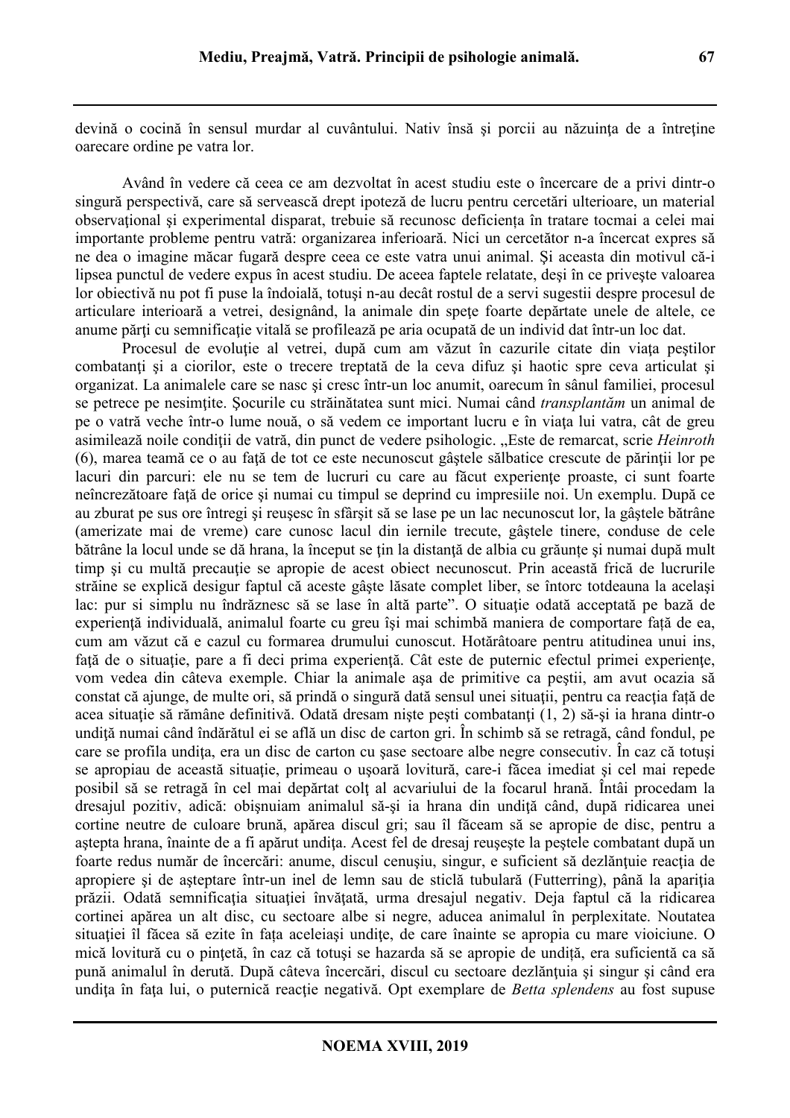devină o cocină în sensul murdar al cuvântului. Nativ însă și porcii au năzuința de a întreține oarecare ordine pe vatra lor.

Având în vedere că ceea ce am dezvoltat în acest studiu este o încercare de a privi dintr-o singură perspectivă, care să servească drept ipoteză de lucru pentru cercetări ulterioare, un material observaţional şi experimental disparat, trebuie să recunosc deficiența în tratare tocmai a celei mai importante probleme pentru vatră: organizarea inferioară. Nici un cercetător n-a încercat expres să ne dea o imagine măcar fugară despre ceea ce este vatra unui animal. Şi aceasta din motivul că-i lipsea punctul de vedere expus în acest studiu. De aceea faptele relatate, deşi în ce priveşte valoarea lor obiectivă nu pot fi puse la îndoială, totuşi n-au decât rostul de a servi sugestii despre procesul de articulare interioară a vetrei, designând, la animale din speţe foarte depărtate unele de altele, ce anume părți cu semnificație vitală se profilează pe aria ocupată de un individ dat într-un loc dat.

Procesul de evolutie al vetrei, după cum am văzut în cazurile citate din viata pestilor combatanți și a ciorilor, este o trecere treptată de la ceva difuz și haotic spre ceva articulat și organizat. La animalele care se nasc şi cresc într-un loc anumit, oarecum în sânul familiei, procesul se petrece pe nesimţite. Şocurile cu străinătatea sunt mici. Numai când *transplantăm* un animal de pe o vatră veche într-o lume nouă, o să vedem ce important lucru e în viata lui vatra, cât de greu asimilează noile condiţii de vatră, din punct de vedere psihologic. "Este de remarcat, scrie *Heinroth*  (6), marea teamă ce o au fată de tot ce este necunoscut gâstele sălbatice crescute de părinții lor pe lacuri din parcuri: ele nu se tem de lucruri cu care au făcut experiente proaste, ci sunt foarte neîncrezătoare faţă de orice şi numai cu timpul se deprind cu impresiile noi. Un exemplu. După ce au zburat pe sus ore întregi şi reuşesc în sfârşit să se lase pe un lac necunoscut lor, la gâştele bătrâne (amerizate mai de vreme) care cunosc lacul din iernile trecute, gâştele tinere, conduse de cele bătrâne la locul unde se dă hrana, la început se ţin la distanţă de albia cu grăunțe şi numai după mult timp și cu multă precautie se apropie de acest obiect necunoscut. Prin această frică de lucrurile străine se explică desigur faptul că aceste gâşte lăsate complet liber, se întorc totdeauna la acelaşi lac: pur si simplu nu îndrăznesc să se lase în altă parte". O situație odată acceptată pe bază de experiență individuală, animalul foarte cu greu își mai schimbă maniera de comportare față de ea, cum am văzut că e cazul cu formarea drumului cunoscut. Hotărâtoare pentru atitudinea unui ins, față de o situație, pare a fi deci prima experiență. Cât este de puternic efectul primei experiențe, vom vedea din câteva exemple. Chiar la animale aşa de primitive ca peştii, am avut ocazia să constat că ajunge, de multe ori, să prindă o singură dată sensul unei situații, pentru ca reacția față de acea situatie să rămâne definitivă. Odată dresam niște pești combatanți (1, 2) să-și ia hrana dintr-o undiță numai când îndărătul ei se află un disc de carton gri. În schimb să se retragă, când fondul, pe care se profila undita, era un disc de carton cu sase sectoare albe negre consecutiv. În caz că totusi se apropiau de această situație, primeau o ușoară lovitură, care-i făcea imediat și cel mai repede posibil să se retragă în cel mai depărtat colţ al acvariului de la focarul hrană. Întâi procedam la dresajul pozitiv, adică: obișnuiam animalul să-și ia hrana din undită când, după ridicarea unei cortine neutre de culoare brună, apărea discul gri; sau îl făceam să se apropie de disc, pentru a astepta hrana, înainte de a fi apărut undița. Acest fel de dresaj reușește la peștele combatant după un foarte redus număr de încercări: anume, discul cenuşiu, singur, e suficient să dezlănţuie reacţia de apropiere și de asteptare într-un inel de lemn sau de sticlă tubulară (Futterring), până la apariția prăzii. Odată semnificația situației învătată, urma dresajul negativ. Deja faptul că la ridicarea cortinei apărea un alt disc, cu sectoare albe si negre, aducea animalul în perplexitate. Noutatea situatiei îl făcea să ezite în fața aceleiași undite, de care înainte se apropia cu mare vioiciune. O mică lovitură cu o pintetă, în caz că totusi se hazarda să se apropie de undiță, era suficientă ca să pună animalul în derută. După câteva încercări, discul cu sectoare dezlănțuia și singur și când era undiţa în faţa lui, o puternică reacţie negativă. Opt exemplare de *Betta splendens* au fost supuse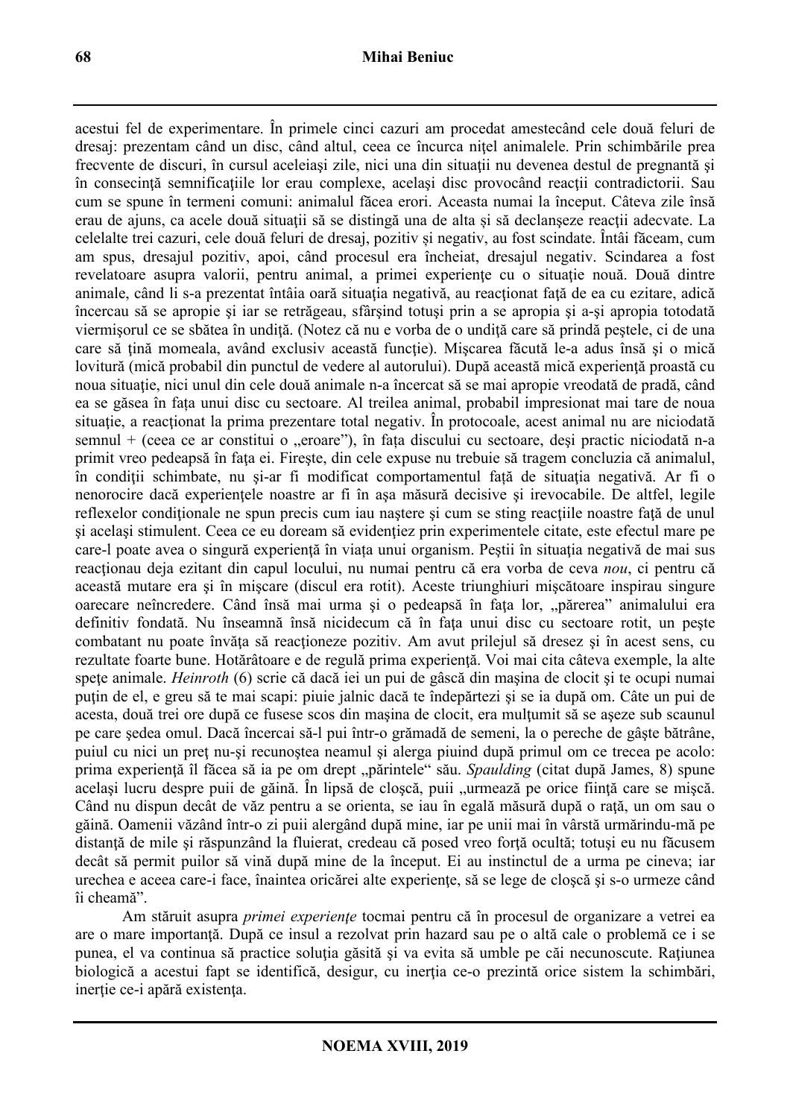acestui fel de experimentare. În primele cinci cazuri am procedat amestecând cele două feluri de dresaj: prezentam când un disc, când altul, ceea ce încurca nițel animalele. Prin schimbările prea frecvente de discuri, în cursul aceleiaşi zile, nici una din situaţii nu devenea destul de pregnantă şi în consecinţă semnificaţiile lor erau complexe, acelaşi disc provocând reacţii contradictorii. Sau cum se spune în termeni comuni: animalul făcea erori. Aceasta numai la început. Câteva zile însă erau de ajuns, ca acele două situaţii să se distingă una de alta și să declanşeze reacţii adecvate. La celelalte trei cazuri, cele două feluri de dresaj, pozitiv și negativ, au fost scindate. Întâi făceam, cum am spus, dresajul pozitiv, apoi, când procesul era încheiat, dresajul negativ. Scindarea a fost revelatoare asupra valorii, pentru animal, a primei experiențe cu o situație nouă. Două dintre animale, când li s-a prezentat întâia oară situația negativă, au reacționat față de ea cu ezitare, adică încercau să se apropie şi iar se retrăgeau, sfârşind totuşi prin a se apropia şi a-şi apropia totodată viermișorul ce se sbătea în undiță. (Notez că nu e vorba de o undiță care să prindă peștele, ci de una care să țină momeala, având exclusiv această funcție). Miscarea făcută le-a adus însă și o mică lovitură (mică probabil din punctul de vedere al autorului). După această mică experiență proastă cu noua situatie, nici unul din cele două animale n-a încercat să se mai apropie vreodată de pradă, când ea se găsea în fața unui disc cu sectoare. Al treilea animal, probabil impresionat mai tare de noua situatie, a reactionat la prima prezentare total negativ. În protocoale, acest animal nu are niciodată semnul + (ceea ce ar constitui o "eroare"), în fața discului cu sectoare, deși practic niciodată n-a primit vreo pedeapsă în fața ei. Fireste, din cele expuse nu trebuie să tragem concluzia că animalul, în condiții schimbate, nu și-ar fi modificat comportamentul față de situația negativă. Ar fi o nenorocire dacă experienţele noastre ar fi în aşa măsură decisive şi irevocabile. De altfel, legile reflexelor condiționale ne spun precis cum iau naștere și cum se sting reacțiile noastre față de unul si acelasi stimulent. Ceea ce eu doream să evidențiez prin experimentele citate, este efectul mare pe care-l poate avea o singură experiență în viața unui organism. Peștii în situația negativă de mai sus reacţionau deja ezitant din capul locului, nu numai pentru că era vorba de ceva *nou*, ci pentru că această mutare era şi în mişcare (discul era rotit). Aceste triunghiuri mişcătoare inspirau singure oarecare neîncredere. Când însă mai urma și o pedeapsă în fața lor, "părerea" animalului era definitiv fondată. Nu înseamnă însă nicidecum că în fata unui disc cu sectoare rotit, un peste combatant nu poate învăţa să reacţioneze pozitiv. Am avut prilejul să dresez şi în acest sens, cu rezultate foarte bune. Hotărâtoare e de regulă prima experiență. Voi mai cita câteva exemple, la alte spete animale. *Heinroth* (6) scrie că dacă iei un pui de gâscă din mașina de clocit și te ocupi numai puțin de el, e greu să te mai scapi: piuie jalnic dacă te îndepărtezi și se ia după om. Câte un pui de acesta, două trei ore după ce fusese scos din maşina de clocit, era mulţumit să se aşeze sub scaunul pe care şedea omul. Dacă încercai să-l pui într-o grămadă de semeni, la o pereche de gâşte bătrâne, puiul cu nici un preţ nu-şi recunoştea neamul şi alerga piuind după primul om ce trecea pe acolo: prima experiență îl făcea să ia pe om drept "părintele" său. *Spaulding* (citat după James, 8) spune același lucru despre puii de găină. În lipsă de cloșcă, puii "urmează pe orice ființă care se mișcă. Când nu dispun decât de văz pentru a se orienta, se iau în egală măsură după o rată, un om sau o găină. Oamenii văzând într-o zi puii alergând după mine, iar pe unii mai în vârstă urmărindu-mă pe distantă de mile și răspunzând la fluierat, credeau că posed vreo fortă ocultă; totuși eu nu făcusem decât să permit puilor să vină după mine de la început. Ei au instinctul de a urma pe cineva; iar urechea e aceea care-i face, înaintea oricărei alte experiențe, să se lege de closcă și s-o urmeze când îi cheamă".

Am stăruit asupra *primei experienţe* tocmai pentru că în procesul de organizare a vetrei ea are o mare importanţă. După ce insul a rezolvat prin hazard sau pe o altă cale o problemă ce i se punea, el va continua să practice soluția găsită și va evita să umble pe căi necunoscute. Rațiunea biologică a acestui fapt se identifică, desigur, cu inerția ce-o prezintă orice sistem la schimbări, inerţie ce-i apără existenţa.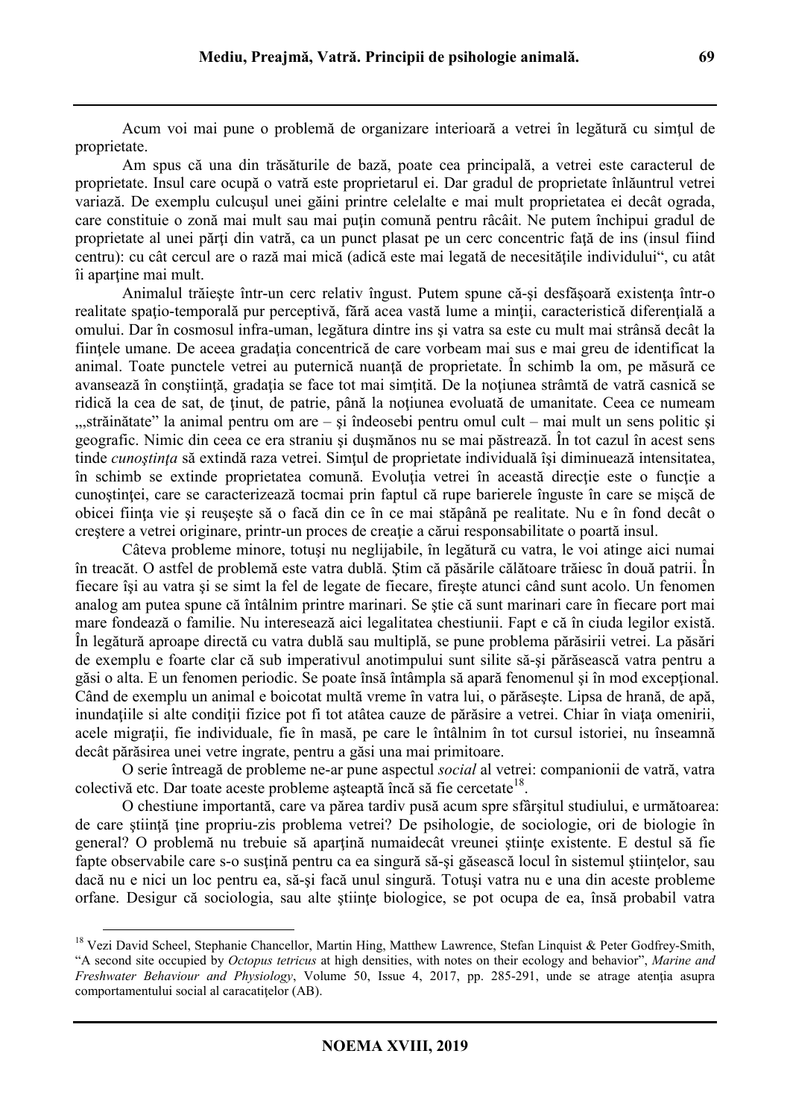Acum voi mai pune o problemă de organizare interioară a vetrei în legătură cu simţul de proprietate.

Am spus că una din trăsăturile de bază, poate cea principală, a vetrei este caracterul de proprietate. Insul care ocupă o vatră este proprietarul ei. Dar gradul de proprietate înlăuntrul vetrei variază. De exemplu culcuşul unei găini printre celelalte e mai mult proprietatea ei decât ograda, care constituie o zonă mai mult sau mai puţin comună pentru râcâit. Ne putem închipui gradul de proprietate al unei părți din vatră, ca un punct plasat pe un cerc concentric față de ins (insul fiind centru): cu cât cercul are o rază mai mică (adică este mai legată de necesităţile individului", cu atât îi aparţine mai mult.

Animalul trăiește într-un cerc relativ îngust. Putem spune că-și desfășoară existența într-o realitate spaţio-temporală pur perceptivă, fără acea vastă lume a minţii, caracteristică diferenţială a omului. Dar în cosmosul infra-uman, legătura dintre ins şi vatra sa este cu mult mai strânsă decât la fiintele umane. De aceea gradatia concentrică de care vorbeam mai sus e mai greu de identificat la animal. Toate punctele vetrei au puternică nuanță de proprietate. În schimb la om, pe măsură ce avansează în conștiință, gradația se face tot mai simțită. De la noțiunea strâmță de vatră casnică se ridică la cea de sat, de ţinut, de patrie, până la noţiunea evoluată de umanitate. Ceea ce numeam ",străinătate" la animal pentru om are – şi îndeosebi pentru omul cult – mai mult un sens politic şi geografic. Nimic din ceea ce era straniu şi duşmănos nu se mai păstrează. În tot cazul în acest sens tinde *cunostința* să extindă raza vetrei. Simtul de proprietate individuală își diminuează intensitatea, în schimb se extinde proprietatea comună. Evoluția vetrei în această direcție este o funcție a cunoştinţei, care se caracterizează tocmai prin faptul că rupe barierele înguste în care se mişcă de obicei fiinţa vie şi reuşeşte să o facă din ce în ce mai stăpână pe realitate. Nu e în fond decât o creștere a vetrei originare, printr-un proces de creație a cărui responsabilitate o poartă insul.

Câteva probleme minore, totuşi nu neglijabile, în legătură cu vatra, le voi atinge aici numai în treacăt. O astfel de problemă este vatra dublă. Ştim că păsările călătoare trăiesc în două patrii. În fiecare îşi au vatra şi se simt la fel de legate de fiecare, fireşte atunci când sunt acolo. Un fenomen analog am putea spune că întâlnim printre marinari. Se ştie că sunt marinari care în fiecare port mai mare fondează o familie. Nu interesează aici legalitatea chestiunii. Fapt e că în ciuda legilor există. În legătură aproape directă cu vatra dublă sau multiplă, se pune problema părăsirii vetrei. La păsări de exemplu e foarte clar că sub imperativul anotimpului sunt silite să-şi părăsească vatra pentru a găsi o alta. E un fenomen periodic. Se poate însă întâmpla să apară fenomenul și în mod exceptional. Când de exemplu un animal e boicotat multă vreme în vatra lui, o părăseşte. Lipsa de hrană, de apă, inundațiile si alte condiții fizice pot fi tot atâtea cauze de părăsire a vetrei. Chiar în viața omenirii, acele migrații, fie individuale, fie în masă, pe care le întâlnim în tot cursul istoriei, nu înseamnă decât părăsirea unei vetre ingrate, pentru a găsi una mai primitoare.

O serie întreagă de probleme ne-ar pune aspectul *social* al vetrei: companionii de vatră, vatra colectivă etc. Dar toate aceste probleme așteaptă încă să fie cercetate<sup>18</sup>.

O chestiune importantă, care va părea tardiv pusă acum spre sfârşitul studiului, e următoarea: de care știință ține propriu-zis problema vetrei? De psihologie, de sociologie, ori de biologie în general? O problemă nu trebuie să apartină numaidecât vreunei științe existente. E destul să fie fapte observabile care s-o susţină pentru ca ea singură să-şi găsească locul în sistemul ştiinţelor, sau dacă nu e nici un loc pentru ea, să-şi facă unul singură. Totuşi vatra nu e una din aceste probleme orfane. Desigur că sociologia, sau alte ştiinţe biologice, se pot ocupa de ea, însă probabil vatra

<sup>&</sup>lt;sup>18</sup> Vezi David Scheel, Stephanie Chancellor, Martin Hing, Matthew Lawrence, Stefan Linquist & Peter Godfrey-Smith, "A second site occupied by *Octopus tetricus* at high densities, with notes on their ecology and behavior", *Marine and Freshwater Behaviour and Physiology*, Volume 50, Issue 4, 2017, pp. 285-291, unde se atrage atentia asupra comportamentului social al caracatitelor (AB).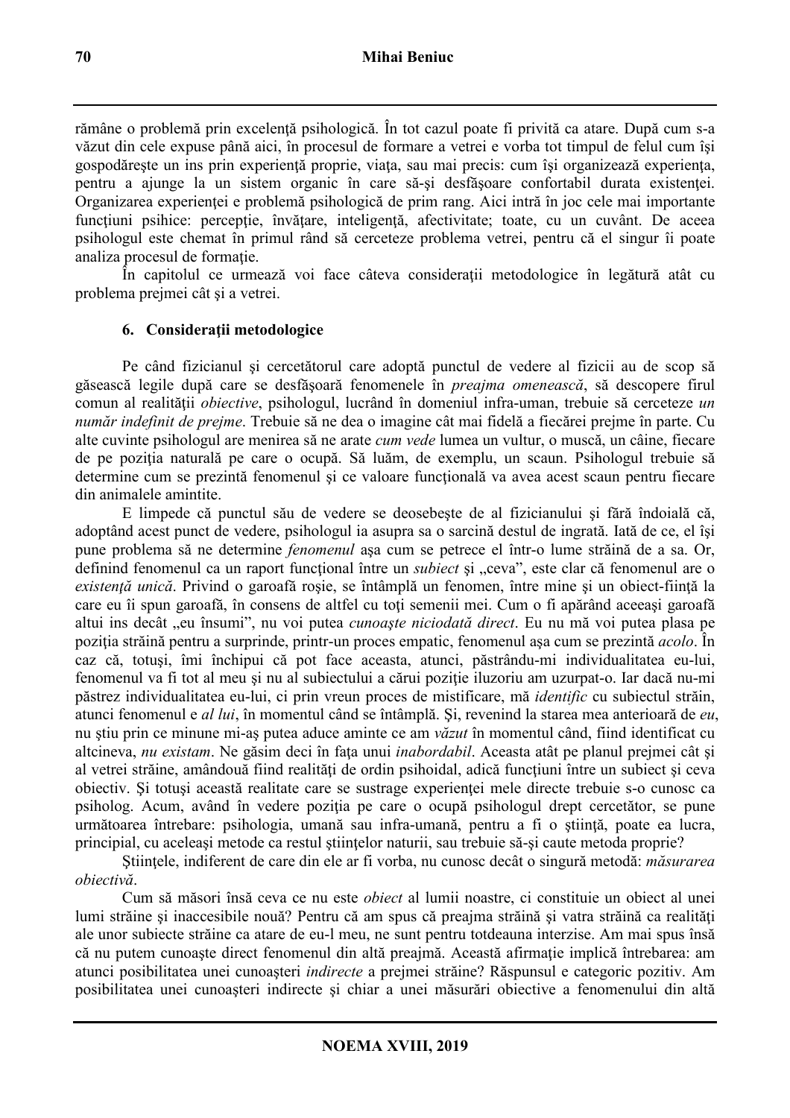rămâne o problemă prin excelență psihologică. În tot cazul poate fi privită ca atare. După cum s-a văzut din cele expuse până aici, în procesul de formare a vetrei e vorba tot timpul de felul cum îşi gospodăreşte un ins prin experienţă proprie, viaţa, sau mai precis: cum îşi organizează experienţa, pentru a ajunge la un sistem organic în care să-si desfășoare confortabil durata existenței. Organizarea experienței e problemă psihologică de prim rang. Aici intră în joc cele mai importante funcțiuni psihice: percepție, învățare, inteligență, afectivitate; toate, cu un cuvânt. De aceea psihologul este chemat în primul rând să cerceteze problema vetrei, pentru că el singur îi poate analiza procesul de formatie.

În capitolul ce urmează voi face câteva considerații metodologice în legătură atât cu problema prejmei cât şi a vetrei.

### **6. Consideraţii metodologice**

Pe când fizicianul şi cercetătorul care adoptă punctul de vedere al fizicii au de scop să găsească legile după care se desfăşoară fenomenele în *preajma omenească*, să descopere firul comun al realității *obiective*, psihologul, lucrând în domeniul infra-uman, trebuie să cerceteze *un număr indefinit de prejme*. Trebuie să ne dea o imagine cât mai fidelă a fiecărei prejme în parte. Cu alte cuvinte psihologul are menirea să ne arate *cum vede* lumea un vultur, o muscă, un câine, fiecare de pe poziția naturală pe care o ocupă. Să luăm, de exemplu, un scaun. Psihologul trebuie să determine cum se prezintă fenomenul și ce valoare functională va avea acest scaun pentru fiecare din animalele amintite.

E limpede că punctul său de vedere se deosebeşte de al fizicianului şi fără îndoială că, adoptând acest punct de vedere, psihologul ia asupra sa o sarcină destul de ingrată. Iată de ce, el îşi pune problema să ne determine *fenomenul* aşa cum se petrece el într-o lume străină de a sa. Or, definind fenomenul ca un raport funcțional între un *subiect* și "ceva", este clar că fenomenul are o *existenţă unică*. Privind o garoafă roşie, se întâmplă un fenomen, între mine şi un obiect-fiinţă la care eu îi spun garoafă, în consens de altfel cu toți semenii mei. Cum o fi apărând aceeași garoafă altui ins decât "eu însumi", nu voi putea *cunoaşte niciodată direct*. Eu nu mă voi putea plasa pe poziţia străină pentru a surprinde, printr-un proces empatic, fenomenul aşa cum se prezintă *acolo*. În caz că, totuşi, îmi închipui că pot face aceasta, atunci, păstrându-mi individualitatea eu-lui, fenomenul va fi tot al meu și nu al subiectului a cărui poziție iluzoriu am uzurpat-o. Iar dacă nu-mi păstrez individualitatea eu-lui, ci prin vreun proces de mistificare, mă *identific* cu subiectul străin, atunci fenomenul e *al lui*, în momentul când se întâmplă. Şi, revenind la starea mea anterioară de *eu*, nu ştiu prin ce minune mi-aş putea aduce aminte ce am *văzut* în momentul când, fiind identificat cu altcineva, *nu existam*. Ne găsim deci în faţa unui *inabordabil*. Aceasta atât pe planul prejmei cât şi al vetrei străine, amândouă fiind realităţi de ordin psihoidal, adică funcţiuni între un subiect şi ceva obiectiv. Şi totuşi această realitate care se sustrage experienţei mele directe trebuie s-o cunosc ca psiholog. Acum, având în vedere poziția pe care o ocupă psihologul drept cercetător, se pune următoarea întrebare: psihologia, umană sau infra-umană, pentru a fi o știință, poate ea lucra, principial, cu aceleaşi metode ca restul ştiinţelor naturii, sau trebuie să-şi caute metoda proprie?

Ştiinţele, indiferent de care din ele ar fi vorba, nu cunosc decât o singură metodă: *măsurarea obiectivă*.

Cum să măsori însă ceva ce nu este *obiect* al lumii noastre, ci constituie un obiect al unei lumi străine și inaccesibile nouă? Pentru că am spus că preajma străină și vatra străină ca realități ale unor subiecte străine ca atare de eu-l meu, ne sunt pentru totdeauna interzise. Am mai spus însă că nu putem cunoaște direct fenomenul din altă preajmă. Această afirmație implică întrebarea: am atunci posibilitatea unei cunoaşteri *indirecte* a prejmei străine? Răspunsul e categoric pozitiv. Am posibilitatea unei cunoaşteri indirecte şi chiar a unei măsurări obiective a fenomenului din altă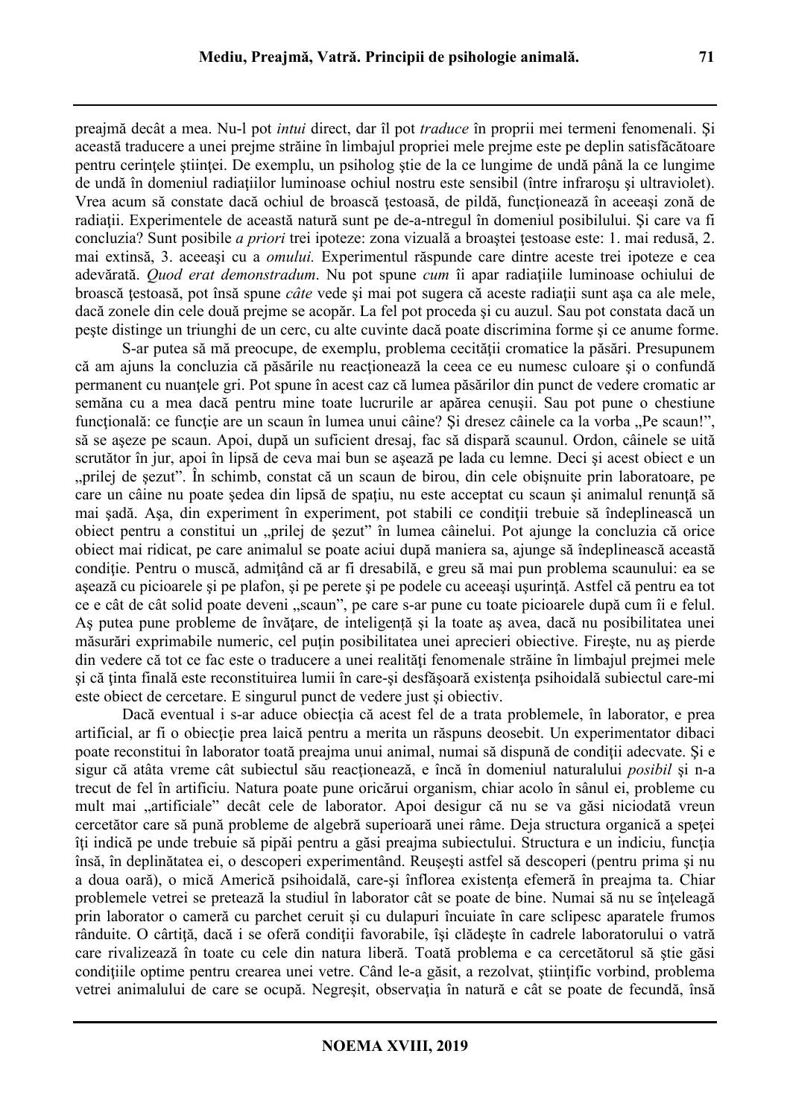preajmă decât a mea. Nu-l pot *intui* direct, dar îl pot *traduce* în proprii mei termeni fenomenali. Şi această traducere a unei prejme străine în limbajul propriei mele prejme este pe deplin satisfăcătoare pentru cerinţele ştiinţei. De exemplu, un psiholog ştie de la ce lungime de undă până la ce lungime de undă în domeniul radiaţiilor luminoase ochiul nostru este sensibil (între infraroşu şi ultraviolet). Vrea acum să constate dacă ochiul de broască ţestoasă, de pildă, funcţionează în aceeaşi zonă de radiaţii. Experimentele de această natură sunt pe de-a-ntregul în domeniul posibilului. Şi care va fi concluzia? Sunt posibile *a priori* trei ipoteze: zona vizuală a broaştei ţestoase este: 1. mai redusă, 2. mai extinsă, 3. aceeaşi cu a *omului.* Experimentul răspunde care dintre aceste trei ipoteze e cea adevărată. *Quod erat demonstradum*. Nu pot spune *cum* îi apar radiaţiile luminoase ochiului de broască ţestoasă, pot însă spune *câte* vede şi mai pot sugera că aceste radiaţii sunt aşa ca ale mele, dacă zonele din cele două prejme se acopăr. La fel pot proceda şi cu auzul. Sau pot constata dacă un peşte distinge un triunghi de un cerc, cu alte cuvinte dacă poate discrimina forme şi ce anume forme.

S-ar putea să mă preocupe, de exemplu, problema cecității cromatice la păsări. Presupunem că am ajuns la concluzia că păsările nu reacţionează la ceea ce eu numesc culoare şi o confundă permanent cu nuantele gri. Pot spune în acest caz că lumea păsărilor din punct de vedere cromatic ar semăna cu a mea dacă pentru mine toate lucrurile ar apărea cenuşii. Sau pot pune o chestiune functională: ce funcție are un scaun în lumea unui câine? Și dresez câinele ca la vorba "Pe scaun!", să se aşeze pe scaun. Apoi, după un suficient dresaj, fac să dispară scaunul. Ordon, câinele se uită scrutător în jur, apoi în lipsă de ceva mai bun se aşează pe lada cu lemne. Deci şi acest obiect e un "prilej de sezut". În schimb, constat că un scaun de birou, din cele obisnuite prin laboratoare, pe care un câine nu poate şedea din lipsă de spaţiu, nu este acceptat cu scaun şi animalul renunţă să mai şadă. Aşa, din experiment în experiment, pot stabili ce condiţii trebuie să îndeplinească un obiect pentru a constitui un "prilej de şezut" în lumea câinelui. Pot ajunge la concluzia că orice obiect mai ridicat, pe care animalul se poate aciui după maniera sa, ajunge să îndeplinească această conditie. Pentru o muscă, admitând că ar fi dresabilă, e greu să mai pun problema scaunului: ea se aşează cu picioarele şi pe plafon, şi pe perete şi pe podele cu aceeaşi uşurinţă. Astfel că pentru ea tot ce e cât de cât solid poate deveni "scaun", pe care s-ar pune cu toate picioarele după cum îi e felul. As putea pune probleme de învătare, de inteligență și la toate as avea, dacă nu posibilitatea unei măsurări exprimabile numeric, cel puţin posibilitatea unei aprecieri obiective. Fireşte, nu aş pierde din vedere că tot ce fac este o traducere a unei realități fenomenale străine în limbajul prejmei mele si că tinta finală este reconstituirea lumii în care-și desfășoară existența psihoidală subiectul care-mi este obiect de cercetare. E singurul punct de vedere just şi obiectiv.

Dacă eventual i s-ar aduce obiectia că acest fel de a trata problemele, în laborator, e prea artificial, ar fi o obiecție prea laică pentru a merita un răspuns deosebit. Un experimentator dibaci poate reconstitui în laborator toată preajma unui animal, numai să dispună de condiții adecvate. Și e sigur că atâta vreme cât subiectul său reacţionează, e încă în domeniul naturalului *posibil* şi n-a trecut de fel în artificiu. Natura poate pune oricărui organism, chiar acolo în sânul ei, probleme cu mult mai "artificiale" decât cele de laborator. Apoi desigur că nu se va găsi niciodată vreun cercetător care să pună probleme de algebră superioară unei râme. Deja structura organică a speţei îţi indică pe unde trebuie să pipăi pentru a găsi preajma subiectului. Structura e un indiciu, funcţia însă, în deplinătatea ei, o descoperi experimentând. Reuşeşti astfel să descoperi (pentru prima şi nu a doua oară), o mică Americă psihoidală, care-şi înflorea existenţa efemeră în preajma ta. Chiar problemele vetrei se pretează la studiul în laborator cât se poate de bine. Numai să nu se înteleagă prin laborator o cameră cu parchet ceruit şi cu dulapuri încuiate în care sclipesc aparatele frumos rânduite. O cârtiță, dacă i se oferă condiții favorabile, își clădește în cadrele laboratorului o vatră care rivalizează în toate cu cele din natura liberă. Toată problema e ca cercetătorul să ştie găsi conditiile optime pentru crearea unei vetre. Când le-a găsit, a rezolvat, științific vorbind, problema vetrei animalului de care se ocupă. Negreșit, observația în natură e cât se poate de fecundă, însă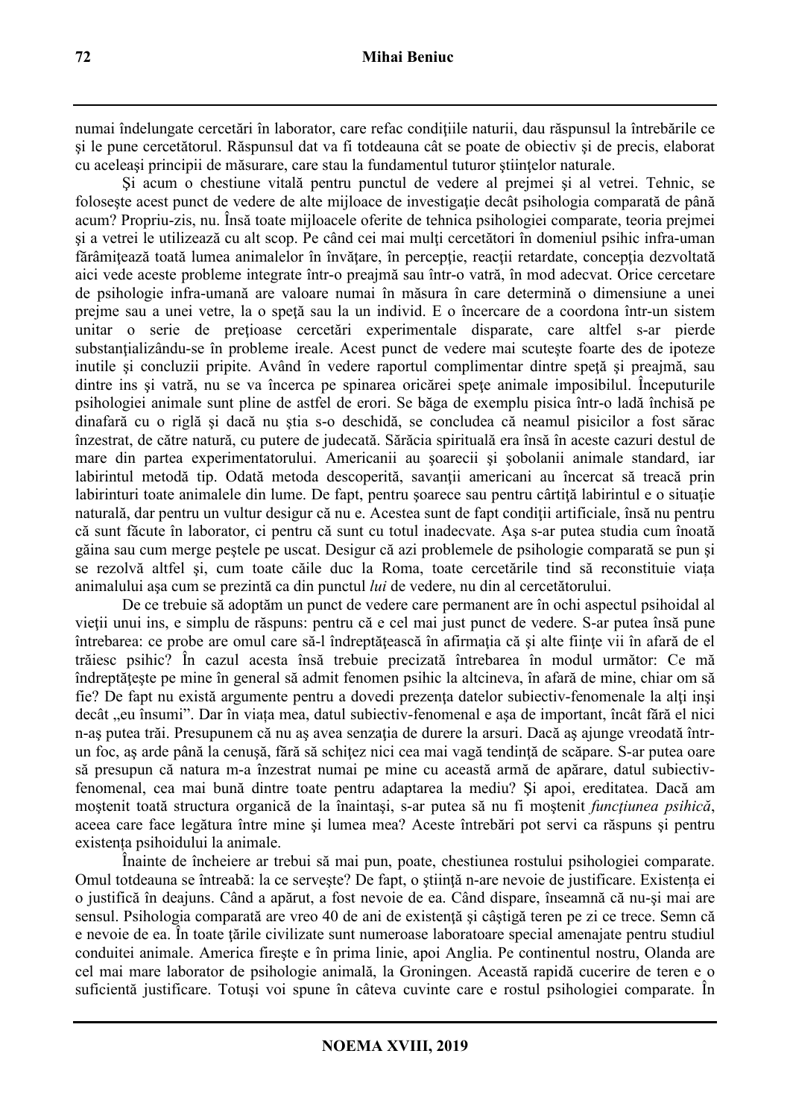numai îndelungate cercetări în laborator, care refac conditiile naturii, dau răspunsul la întrebările ce şi le pune cercetătorul. Răspunsul dat va fi totdeauna cât se poate de obiectiv şi de precis, elaborat cu aceleaşi principii de măsurare, care stau la fundamentul tuturor ştiinţelor naturale.

Şi acum o chestiune vitală pentru punctul de vedere al prejmei şi al vetrei. Tehnic, se folosește acest punct de vedere de alte mijloace de investigație decât psihologia comparată de până acum? Propriu-zis, nu. Însă toate mijloacele oferite de tehnica psihologiei comparate, teoria prejmei şi a vetrei le utilizează cu alt scop. Pe când cei mai mulţi cercetători în domeniul psihic infra-uman fărâmițează toată lumea animalelor în învățare, în percepție, reacții retardate, concepția dezvoltată aici vede aceste probleme integrate într-o preajmă sau într-o vatră, în mod adecvat. Orice cercetare de psihologie infra-umană are valoare numai în măsura în care determină o dimensiune a unei prejme sau a unei vetre, la o speţă sau la un individ. E o încercare de a coordona într-un sistem unitar o serie de prețioase cercetări experimentale disparate, care altfel s-ar pierde substantializându-se în probleme ireale. Acest punct de vedere mai scuteste foarte des de ipoteze inutile și concluzii pripite. Având în vedere raportul complimentar dintre speță și preajmă, sau dintre ins și vatră, nu se va încerca pe spinarea oricărei spete animale imposibilul. Începuturile psihologiei animale sunt pline de astfel de erori. Se băga de exemplu pisica într-o ladă închisă pe dinafară cu o riglă şi dacă nu ştia s-o deschidă, se concludea că neamul pisicilor a fost sărac înzestrat, de către natură, cu putere de judecată. Sărăcia spirituală era însă în aceste cazuri destul de mare din partea experimentatorului. Americanii au şoarecii şi şobolanii animale standard, iar labirintul metodă tip. Odată metoda descoperită, savanții americani au încercat să treacă prin labirinturi toate animalele din lume. De fapt, pentru şoarece sau pentru cârtiţă labirintul e o situaţie naturală, dar pentru un vultur desigur că nu e. Acestea sunt de fapt condiţii artificiale, însă nu pentru că sunt făcute în laborator, ci pentru că sunt cu totul inadecvate. Aşa s-ar putea studia cum înoată găina sau cum merge peştele pe uscat. Desigur că azi problemele de psihologie comparată se pun şi se rezolvă altfel şi, cum toate căile duc la Roma, toate cercetările tind să reconstituie viața animalului aşa cum se prezintă ca din punctul *lui* de vedere, nu din al cercetătorului.

De ce trebuie să adoptăm un punct de vedere care permanent are în ochi aspectul psihoidal al vieţii unui ins, e simplu de răspuns: pentru că e cel mai just punct de vedere. S-ar putea însă pune întrebarea: ce probe are omul care să-l îndreptăţească în afirmaţia că şi alte fiinţe vii în afară de el trăiesc psihic? În cazul acesta însă trebuie precizată întrebarea în modul următor: Ce mă îndreptăteste pe mine în general să admit fenomen psihic la altcineva, în afară de mine, chiar om să fie? De fapt nu există argumente pentru a dovedi prezenţa datelor subiectiv-fenomenale la alţi inşi decât "eu însumi". Dar în viața mea, datul subiectiv-fenomenal e așa de important, încât fără el nici n-as putea trăi. Presupunem că nu as avea senzația de durere la arsuri. Dacă as ajunge vreodată întrun foc, as arde până la cenusă, fără să schitez nici cea mai vagă tendință de scăpare. S-ar putea oare să presupun că natura m-a înzestrat numai pe mine cu această armă de apărare, datul subiectivfenomenal, cea mai bună dintre toate pentru adaptarea la mediu? Şi apoi, ereditatea. Dacă am moștenit toată structura organică de la înaintași, s-ar putea să nu fi moștenit *funcțiunea psihică*, aceea care face legătura între mine şi lumea mea? Aceste întrebări pot servi ca răspuns şi pentru existența psihoidului la animale.

Înainte de încheiere ar trebui să mai pun, poate, chestiunea rostului psihologiei comparate. Omul totdeauna se întreabă: la ce serveşte? De fapt, o ştiinţă n-are nevoie de justificare. Existența ei o justifică în deajuns. Când a apărut, a fost nevoie de ea. Când dispare, înseamnă că nu-şi mai are sensul. Psihologia comparată are vreo 40 de ani de existență și câștigă teren pe zi ce trece. Semn că e nevoie de ea. În toate tările civilizate sunt numeroase laboratoare special amenajate pentru studiul conduitei animale. America fireşte e în prima linie, apoi Anglia. Pe continentul nostru, Olanda are cel mai mare laborator de psihologie animală, la Groningen. Această rapidă cucerire de teren e o suficientă justificare. Totuşi voi spune în câteva cuvinte care e rostul psihologiei comparate. În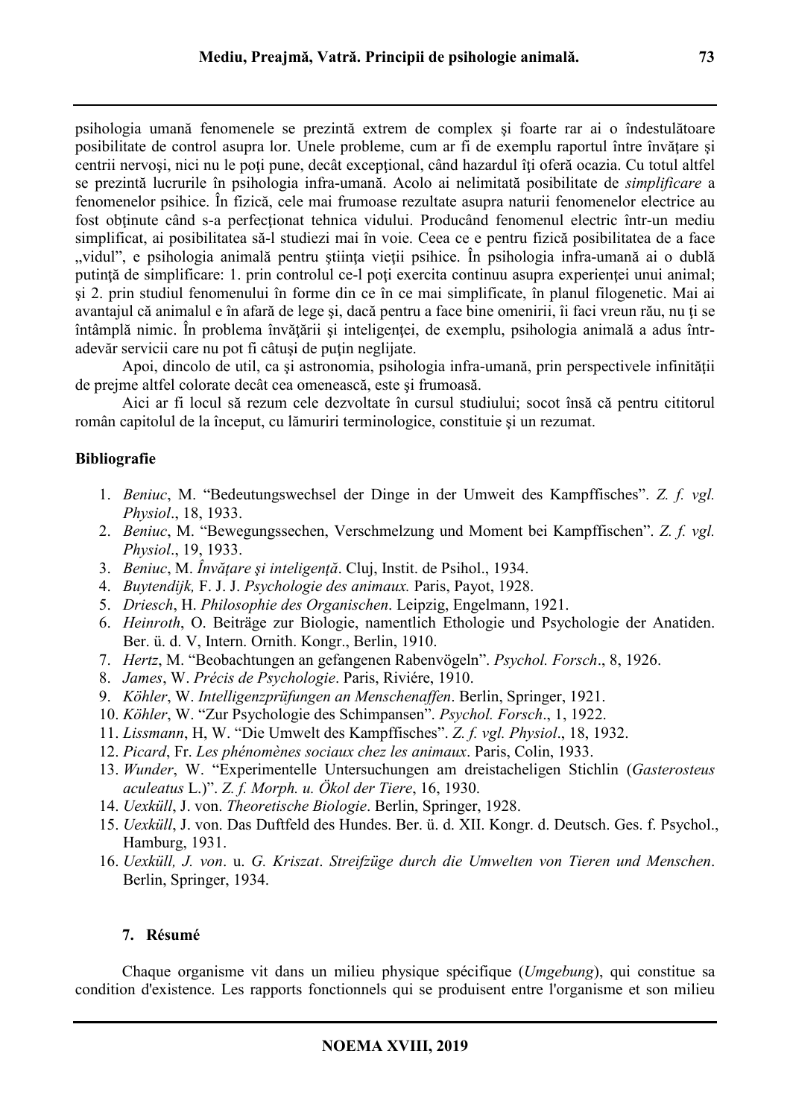psihologia umană fenomenele se prezintă extrem de complex şi foarte rar ai o îndestulătoare posibilitate de control asupra lor. Unele probleme, cum ar fi de exemplu raportul între învătare și centrii nervoşi, nici nu le poţi pune, decât excepţional, când hazardul îţi oferă ocazia. Cu totul altfel se prezintă lucrurile în psihologia infra-umană. Acolo ai nelimitată posibilitate de *simplificare* a fenomenelor psihice. În fizică, cele mai frumoase rezultate asupra naturii fenomenelor electrice au fost obţinute când s-a perfecţionat tehnica vidului. Producând fenomenul electric într-un mediu simplificat, ai posibilitatea să-l studiezi mai în voie. Ceea ce e pentru fizică posibilitatea de a face "vidul", e psihologia animală pentru știința vieții psihice. În psihologia infra-umană ai o dublă putință de simplificare: 1. prin controlul ce-l poți exercita continuu asupra experienței unui animal; şi 2. prin studiul fenomenului în forme din ce în ce mai simplificate, în planul filogenetic. Mai ai avantajul că animalul e în afară de lege şi, dacă pentru a face bine omenirii, îi faci vreun rău, nu ţi se întâmplă nimic. În problema învățării și inteligenței, de exemplu, psihologia animală a adus întradevăr servicii care nu pot fi câtusi de putin neglijate.

Apoi, dincolo de util, ca și astronomia, psihologia infra-umană, prin perspectivele infinității de prejme altfel colorate decât cea omenească, este şi frumoasă.

Aici ar fi locul să rezum cele dezvoltate în cursul studiului; socot însă că pentru cititorul român capitolul de la început, cu lămuriri terminologice, constituie şi un rezumat.

# **Bibliografie**

- 1. *Beniuc*, M. "Bedeutungswechsel der Dinge in der Umweit des Kampffisches". *Z. f. vgl. Physiol*., 18, 1933.
- 2. *Beniuc*, M. "Bewegungssechen, Verschmelzung und Moment bei Kampffischen". *Z. f. vgl. Physiol*., 19, 1933.
- 3. *Beniuc*, M. *Învăţare şi inteligenţă*. Cluj, Instit. de Psihol., 1934.
- 4. *Buytendijk,* F. J. J. *Psychologie des animaux.* Paris, Payot, 1928.
- 5. *Driesch*, H. *Philosophie des Organischen*. Leipzig, Engelmann, 1921.
- 6. *Heinroth*, O. Beiträge zur Biologie, namentlich Ethologie und Psychologie der Anatiden. Ber. ü. d. V, Intern. Ornith. Kongr., Berlin, 1910.
- 7. *Hertz*, M. "Beobachtungen an gefangenen Rabenvögeln". *Psychol. Forsch*., 8, 1926.
- 8. *James*, W. *Précis de Psychologie*. Paris, Riviére, 1910.
- 9. *Köhler*, W. *Intelligenzprüfungen an Menschenaffen*. Berlin, Springer, 1921.
- 10. *Köhler*, W. "Zur Psychologie des Schimpansen". *Psychol. Forsch*., 1, 1922.
- 11. *Lissmann*, H, W. "Die Umwelt des Kampffisches". *Z. f. vgl. Physiol*., 18, 1932.
- 12. *Picard*, Fr. *Les phénomènes sociaux chez les animaux*. Paris, Colin, 1933.
- 13. *Wunder*, W. "Experimentelle Untersuchungen am dreistacheligen Stichlin (*Gasterosteus aculeatus* L.)". *Z. f. Morph. u. Ökol der Tiere*, 16, 1930.
- 14. *Uexküll*, J. von. *Theoretische Biologie*. Berlin, Springer, 1928.
- 15. *Uexküll*, J. von. Das Duftfeld des Hundes. Ber. ü. d. XII. Kongr. d. Deutsch. Ges. f. Psychol., Hamburg, 1931.
- 16. *Uexküll, J. von*. u. *G. Kriszat*. *Streifzüge durch die Umwelten von Tieren und Menschen*. Berlin, Springer, 1934.

## **7. Résumé**

Chaque organisme vit dans un milieu physique spécifique (*Umgebung*), qui constitue sa condition d'existence. Les rapports fonctionnels qui se produisent entre l'organisme et son milieu